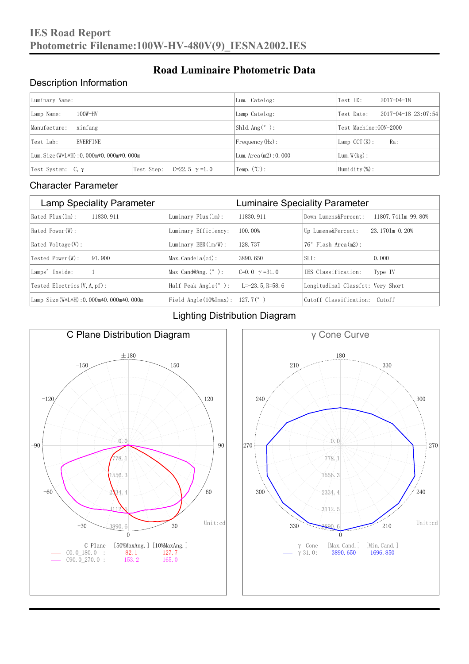### Description Information

| Luminary Name:                          |                                     | Lum. Catelog:                   | Test ID:                    | $2017 - 04 - 18$ |  |
|-----------------------------------------|-------------------------------------|---------------------------------|-----------------------------|------------------|--|
| $100W-HV$<br>Lamp Name:                 | Lamp Catelog:                       | Test Date:                      | $2017 - 04 - 18$ $23:07:54$ |                  |  |
| Manufacture:<br>xinfang                 |                                     | $\vert$ Sh1d. Ang $(^\circ$ ) : | Test Machine: GON-2000      |                  |  |
| <b>EVERFINE</b><br>Test Lab:            |                                     | $Frequency(Hz)$ :               | $Lamp$ CCT(K):              | Ra:              |  |
| Lum. Size (W*L*H): 0.000m*0.000m*0.000m |                                     | Lum. Area $(m2)$ : 0.000        | Lum. $W(kg)$ :              |                  |  |
| Test System: $C, \gamma$                | Test Step:<br>$C=22.5$ $\gamma=1.0$ | $\text{Temp.} (\text{°C})$ :    | Humidity $(\%)$ :           |                  |  |

**Road Luminaire Photometric Data**

#### Character Parameter

| <b>Lamp Speciality Parameter</b>       | <b>Luminaire Speciality Parameter</b>                               |                      |                                   |                    |
|----------------------------------------|---------------------------------------------------------------------|----------------------|-----------------------------------|--------------------|
| Rated Flux(1m):<br>11830.911           | Luminary $Flux(lm)$ :                                               | 11830.911            | Down Lumens&Percent:              | 11807.7411m 99.80% |
| Rated Power (W):                       | Luminary Efficiency:                                                | 100.00%              | Up Lumens&Percent:                | 23.1701m 0.20%     |
| $Rated$ Voltage $(V)$ :                | Luminary $EER(\ln/W)$ :                                             | 128, 737             | $76°$ Flash Area $(m2)$ :         |                    |
| Tested Power(W):<br>91.900             | $Max. Candela(cd)$ :                                                | 3890, 650            | $SLI$ :                           | 0.000              |
| Lamps' Inside:                         | Max Cand@Ang. $(°)$ :                                               | C=0.0 $\gamma$ =31.0 | TES Classification:               | Type IV            |
| Tested Electrics $(V, A, pf)$ :        | Half Peak Angle $(°)$ :                                             | $L=-23.5$ , R=58, 6  | Longitudinal Classfct: Very Short |                    |
| Lamp Size(W*L*H): 0.000m*0.000m*0.000m | Field Angle $(10\text{\%} \text{Im} \text{ax})$ : 127.7 $(^\circ$ ) |                      | Cutoff Classification: Cutoff     |                    |

#### Lighting Distribution Diagram



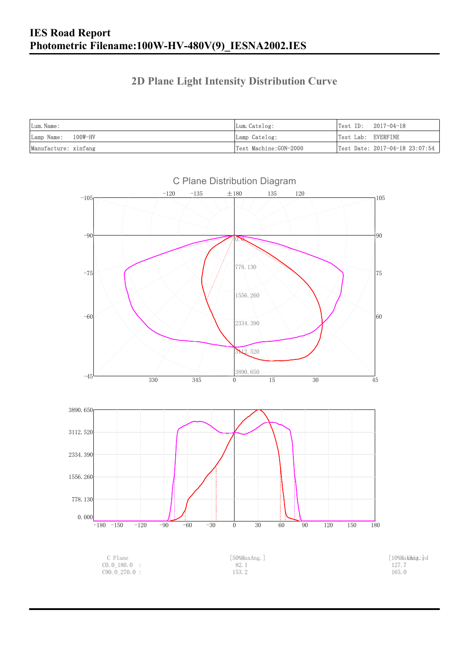### **2D Plane Light Intensity Distribution Curve**

| Lum. Name:           | Lum.Catelog:          | $Test ID: 2017-04-18$          |
|----------------------|-----------------------|--------------------------------|
| Lamp Name: 100W-HV   | Lamp Catelog:         | Test Lab: EVERFINE             |
| Manufacture: xinfang | Test Machine:GON-2000 | Test Date: 2017-04-18 23:07:54 |

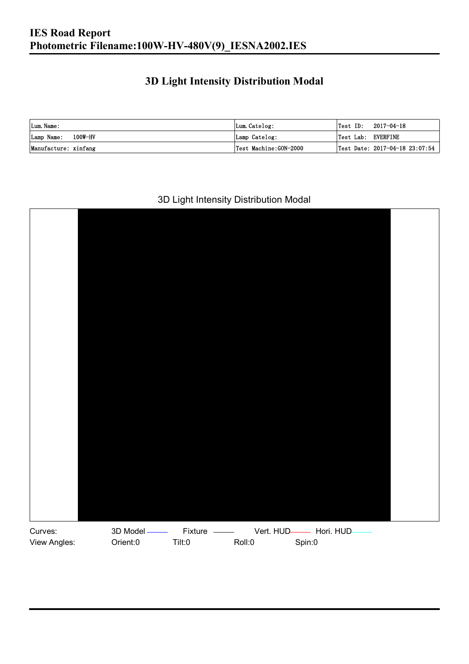## **3D Light Intensity Distribution Modal**

| Lum. Name:           | Lum.Catelog:          |                    | $\textsf{Test ID:} \quad 2017-04-18$ |
|----------------------|-----------------------|--------------------|--------------------------------------|
| Lamp Name: 100W-HV   | Lamp Catelog:         | Test Lab: EVERFINE |                                      |
| Manufacture: xinfang | Test Machine:GON-2000 |                    | Test Date: 2017-04-18 23:07:54       |

#### 3D Light Intensity Distribution Modal

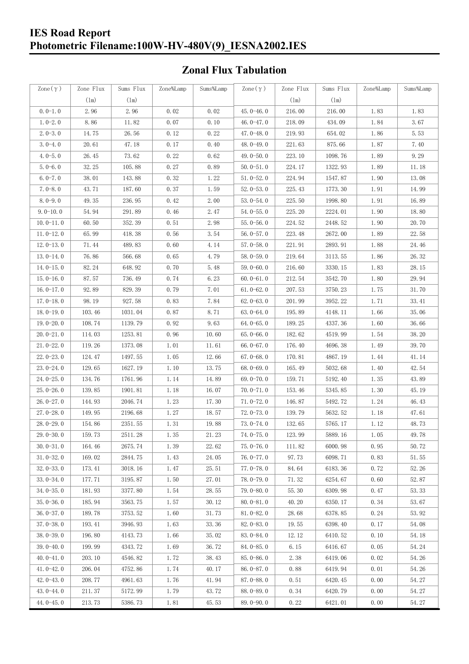# **IES Road Report Photometric Filename:100W-HV-480V(9)\_IESNA2002.IES**

# **Zonal Flux Tabulation**

| Zone $(\gamma)$ | Zone Flux | Sums Flux | Zone%Lamp | Sums%Lamp | Zone $(\gamma)$ | Zone Flux | Sums Flux | Zone%Lamp | Sums%Lamp |
|-----------------|-----------|-----------|-----------|-----------|-----------------|-----------|-----------|-----------|-----------|
|                 | (1m)      | (1m)      |           |           |                 | (1m)      | (1m)      |           |           |
| $0.0-1.0$       | 2.96      | 2.96      | 0.02      | 0.02      | $45.0 - 46.0$   | 216.00    | 216.00    | 1.83      | 1.83      |
| $1.0 - 2.0$     | 8.86      | 11.82     | 0.07      | 0.10      | 46.0-47.0       | 218.09    | 434.09    | 1.84      | 3.67      |
| $2.0 - 3.0$     | 14.75     | 26.56     | 0.12      | 0.22      | 47.0-48.0       | 219.93    | 654.02    | 1.86      | 5.53      |
| $3.0 - 4.0$     | 20.61     | 47.18     | 0.17      | 0.40      | 48.0-49.0       | 221.63    | 875.66    | 1.87      | 7.40      |
| $4.0 - 5.0$     | 26.45     | 73.62     | 0.22      | 0.62      | 49.0 $-50.0$    | 223.10    | 1098.76   | 1.89      | 9.29      |
| $5.0 - 6.0$     | 32.25     | 105.88    | 0.27      | 0.89      | $50.0 - 51.0$   | 224.17    | 1322.93   | 1.89      | 11.18     |
| $6.0 - 7.0$     | 38.01     | 143.88    | 0.32      | 1.22      | $51.0 - 52.0$   | 224.94    | 1547.87   | 1.90      | 13.08     |
| $7.0 - 8.0$     | 43.71     | 187.60    | 0.37      | 1.59      | $52.0 - 53.0$   | 225.43    | 1773.30   | 1.91      | 14.99     |
| $8.0 - 9.0$     | 49.35     | 236.95    | 0.42      | 2.00      | $53.0 - 54.0$   | 225.50    | 1998.80   | 1.91      | 16.89     |
| $9.0 - 10.0$    | 54.94     | 291.89    | 0.46      | 2.47      | $54.0 - 55.0$   | 225.20    | 2224.01   | 1.90      | 18.80     |
| $10.0 - 11.0$   | 60.50     | 352.39    | 0.51      | 2.98      | $55.0 - 56.0$   | 224.52    | 2448.52   | 1.90      | 20.70     |
| $11.0 - 12.0$   | 65.99     | 418.38    | 0.56      | 3.54      | $56.0 - 57.0$   | 223.48    | 2672.00   | 1.89      | 22.58     |
| $12.0 - 13.0$   | 71.44     | 489.83    | 0.60      | 4.14      | $57.0 - 58.0$   | 221.91    | 2893.91   | 1.88      | 24.46     |
| $13.0 - 14.0$   | 76.86     | 566.68    | 0.65      | 4.79      | $58.0 - 59.0$   | 219.64    | 3113.55   | 1.86      | 26.32     |
| $14.0 - 15.0$   | 82.24     | 648.92    | 0.70      | 5.48      | $59.0 - 60.0$   | 216.60    | 3330.15   | 1.83      | 28.15     |
| $15.0 - 16.0$   | 87.57     | 736.49    | 0.74      | 6.23      | $60.0 - 61.0$   | 212.54    | 3542.70   | 1.80      | 29.94     |
| $16.0 - 17.0$   | 92.89     | 829.39    | 0.79      | 7.01      | $61.0 - 62.0$   | 207.53    | 3750.23   | 1.75      | 31.70     |
| $17.0 - 18.0$   | 98.19     | 927.58    | 0.83      | 7.84      | $62.0 - 63.0$   | 201.99    | 3952.22   | 1.71      | 33.41     |
| $18.0 - 19.0$   | 103.46    | 1031.04   | 0.87      | 8.71      | $63.0 - 64.0$   | 195.89    | 4148.11   | 1.66      | 35.06     |
| $19.0 - 20.0$   | 108.74    | 1139.79   | 0.92      | 9.63      | $64.0 - 65.0$   | 189.25    | 4337.36   | 1.60      | 36.66     |
| $20.0 - 21.0$   | 114.03    | 1253.81   | 0.96      | 10.60     | $65.0 - 66.0$   | 182.62    | 4519.99   | 1.54      | 38.20     |
| $21.0 - 22.0$   | 119.26    | 1373.08   | 1.01      | 11.61     | 66.0 $-67.0$    | 176.40    | 4696.38   | 1.49      | 39.70     |
| $22.0 - 23.0$   | 124.47    | 1497.55   | 1.05      | 12.66     | $67.0 - 68.0$   | 170.81    | 4867.19   | 1.44      | 41.14     |
| $23.0 - 24.0$   | 129.65    | 1627.19   | 1.10      | 13.75     | $68.0 - 69.0$   | 165.49    | 5032.68   | 1.40      | 42.54     |
| $24.0 - 25.0$   | 134.76    | 1761.96   | 1.14      | 14.89     | $69.0 - 70.0$   | 159.71    | 5192.40   | 1.35      | 43.89     |
| $25.0 - 26.0$   | 139.85    | 1901.81   | 1.18      | 16.07     | $70.0 - 71.0$   | 153.46    | 5345.85   | 1.30      | 45.19     |
| $26.0 - 27.0$   | 144.93    | 2046.74   | 1.23      | 17.30     | $71.0 - 72.0$   | 146.87    | 5492.72   | 1.24      | 46.43     |
| $27.0 - 28.0$   | 149.95    | 2196.68   | 1.27      | 18.57     | $72.0 - 73.0$   | 139.79    | 5632.52   | 1.18      | 47.61     |
| $28.0 - 29.0$   | 154.86    | 2351.55   | 1.31      | 19.88     | $73.0 - 74.0$   | 132.65    | 5765.17   | 1.12      | 48.73     |
| $29.0 - 30.0$   | 159.73    | 2511.28   | 1.35      | 21.23     | $74.0 - 75.0$   | 123.99    | 5889.16   | 1.05      | 49.78     |
| $30.0 - 31.0$   | 164.46    | 2675.74   | 1.39      | 22.62     | $75.0 - 76.0$   | 111.82    | 6000.98   | 0.95      | 50.72     |
| $31.0 - 32.0$   | 169.02    | 2844.75   | 1.43      | 24.05     | $76.0 - 77.0$   | 97.73     | 6098.71   | 0.83      | 51.55     |
| $32.0 - 33.0$   | 173.41    | 3018.16   | 1.47      | 25.51     | $77.0 - 78.0$   | 84.64     | 6183.36   | 0.72      | 52.26     |
| $33.0 - 34.0$   | 177.71    | 3195.87   | 1.50      | 27.01     | $78.0 - 79.0$   | 71.32     | 6254.67   | 0.60      | 52.87     |
| $34.0 - 35.0$   | 181.93    | 3377.80   | 1.54      | 28.55     | 79.0-80.0       | 55.30     | 6309.98   | 0.47      | 53.33     |
| $35.0 - 36.0$   | 185.94    | 3563.75   | 1.57      | 30.12     | $80.0 - 81.0$   | 40.20     | 6350.17   | 0.34      | 53.67     |
| $36.0 - 37.0$   | 189.78    | 3753.52   | 1.60      | 31.73     | $81.0 - 82.0$   | 28.68     | 6378.85   | 0.24      | 53.92     |
| $37.0 - 38.0$   | 193.41    | 3946.93   | 1.63      | 33.36     | $82.0 - 83.0$   | 19.55     | 6398.40   | 0.17      | 54.08     |
| $38.0 - 39.0$   | 196.80    | 4143.73   | 1.66      | 35.02     | 83.0-84.0       | 12.12     | 6410.52   | 0.10      | 54.18     |
| $39.0 - 40.0$   | 199.99    | 4343.72   | 1.69      | 36.72     | $84.0 - 85.0$   | 6.15      | 6416.67   | 0.05      | 54.24     |
| $40.0 - 41.0$   | 203.10    | 4546.82   | 1.72      | 38.43     | 85.0-86.0       | 2.38      | 6419.06   | 0.02      | 54.26     |
| $41.0 - 42.0$   | 206.04    | 4752.86   | 1.74      | 40.17     | 86.0-87.0       | 0.88      | 6419.94   | 0.01      | 54.26     |
| $42.0 - 43.0$   | 208.77    | 4961.63   | 1.76      | 41.94     | $87.0 - 88.0$   | 0.51      | 6420.45   | 0.00      | 54.27     |
| $43.0 - 44.0$   | 211.37    | 5172.99   | 1.79      | 43.72     | $88.0 - 89.0$   | 0.34      | 6420.79   | 0.00      | 54.27     |
| 44.0-45.0       | 213.73    | 5386.73   | 1.81      | 45.53     | 89.0-90.0       | 0.22      | 6421.01   | 0.00      | 54.27     |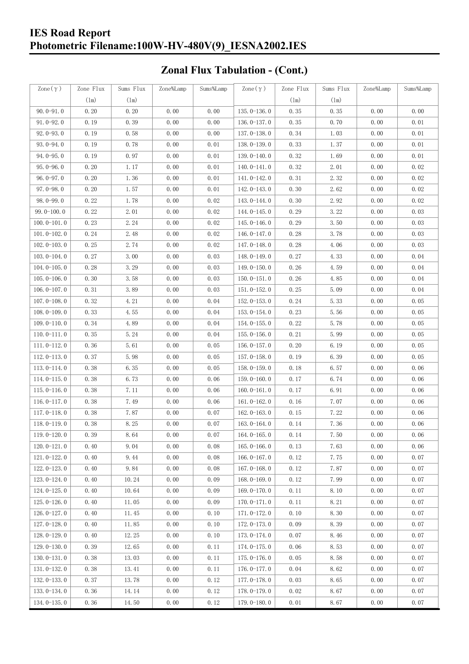# **IES Road Report Photometric Filename:100W-HV-480V(9)\_IESNA2002.IES**

# **Zonal Flux Tabulation - (Cont.)**

| Zone $(\gamma)$ | Zone Flux | Sums Flux | Zone%Lamp | Sums%Lamp | $\text{Zone}(\gamma)$ | Zone Flux | Sums Flux | Zone%Lamp | Sums%Lamp |
|-----------------|-----------|-----------|-----------|-----------|-----------------------|-----------|-----------|-----------|-----------|
|                 | (1m)      | (1m)      |           |           |                       | (1m)      | $(\ln)$   |           |           |
| $90.0 - 91.0$   | 0.20      | 0.20      | 0.00      | 0.00      | $135.0 - 136.0$       | 0.35      | 0.35      | 0.00      | 0.00      |
| $91.0 - 92.0$   | 0.19      | 0.39      | 0.00      | 0.00      | 136.0-137.0           | 0.35      | 0.70      | 0.00      | 0.01      |
| $92.0 - 93.0$   | 0.19      | 0.58      | 0.00      | 0.00      | 137.0-138.0           | 0.34      | 1.03      | 0.00      | 0.01      |
| 93.0-94.0       | 0.19      | 0.78      | 0.00      | 0.01      | 138.0-139.0           | 0.33      | 1.37      | 0.00      | 0.01      |
| $94.0 - 95.0$   | 0.19      | 0.97      | 0.00      | 0.01      | 139.0-140.0           | 0.32      | 1.69      | 0.00      | 0.01      |
| $95.0 - 96.0$   | 0.20      | 1.17      | 0.00      | 0.01      | $140.0 - 141.0$       | 0.32      | 2.01      | 0.00      | 0.02      |
| $96.0 - 97.0$   | 0.20      | 1.36      | 0.00      | 0.01      | 141.0-142.0           | 0.31      | 2.32      | 0.00      | 0.02      |
| $97.0 - 98.0$   | 0.20      | 1.57      | 0.00      | 0.01      | 142.0-143.0           | 0.30      | 2.62      | 0.00      | 0.02      |
| $98.0 - 99.0$   | 0.22      | 1.78      | 0.00      | 0.02      | 143.0-144.0           | 0.30      | 2.92      | 0.00      | 0.02      |
| $99.0 - 100.0$  | 0.22      | 2.01      | 0.00      | 0.02      | 144.0-145.0           | 0.29      | 3.22      | 0.00      | 0.03      |
| $100.0 - 101.0$ | 0.23      | 2.24      | 0.00      | 0.02      | $145.0 - 146.0$       | 0.29      | 3.50      | 0.00      | 0.03      |
| $101.0 - 102.0$ | 0.24      | 2.48      | 0.00      | 0.02      | 146.0-147.0           | 0.28      | 3.78      | 0.00      | 0.03      |
| $102.0 - 103.0$ | 0.25      | 2.74      | 0.00      | 0.02      | 147.0-148.0           | 0.28      | 4.06      | 0.00      | 0.03      |
| $103.0 - 104.0$ | 0.27      | 3.00      | 0.00      | 0.03      | 148.0-149.0           | 0.27      | 4.33      | 0.00      | 0.04      |
| $104.0 - 105.0$ | 0.28      | 3.29      | 0.00      | 0.03      | $149.0 - 150.0$       | 0.26      | 4.59      | 0.00      | 0.04      |
| $105.0 - 106.0$ | 0.30      | 3.58      | 0.00      | 0.03      | $150.0 - 151.0$       | 0.26      | 4.85      | 0.00      | 0.04      |
| $106.0 - 107.0$ | 0.31      | 3.89      | 0.00      | 0.03      | $151.0 - 152.0$       | 0.25      | 5.09      | 0.00      | 0.04      |
| $107.0 - 108.0$ | 0.32      | 4.21      | 0.00      | 0.04      | $152.0 - 153.0$       | 0.24      | 5.33      | 0.00      | 0.05      |
| $108.0 - 109.0$ | 0.33      | 4.55      | 0.00      | 0.04      | $153.0 - 154.0$       | 0.23      | 5.56      | 0.00      | 0.05      |
| $109.0 - 110.0$ | 0.34      | 4.89      | 0.00      | 0.04      | $154.0 - 155.0$       | 0.22      | 5.78      | 0.00      | 0.05      |
| $110.0 - 111.0$ | 0.35      | 5.24      | 0.00      | 0.04      | $155.0 - 156.0$       | 0.21      | 5.99      | 0.00      | 0.05      |
| $111.0 - 112.0$ | 0.36      | 5.61      | 0.00      | 0.05      | $156.0 - 157.0$       | 0.20      | 6.19      | 0.00      | 0.05      |
| $112.0 - 113.0$ | 0.37      | 5.98      | 0.00      | 0.05      | 157.0-158.0           | 0.19      | 6.39      | 0.00      | 0.05      |
| $113.0 - 114.0$ | 0.38      | 6.35      | 0.00      | 0.05      | $158.0 - 159.0$       | 0.18      | 6.57      | 0.00      | 0.06      |
| $114.0 - 115.0$ | 0.38      | 6.73      | 0.00      | 0.06      | $159.0 - 160.0$       | 0.17      | 6.74      | 0.00      | 0.06      |
| $115.0 - 116.0$ | 0.38      | 7.11      | 0.00      | 0.06      | $160.0 - 161.0$       | 0.17      | 6.91      | 0.00      | 0.06      |
| $116.0 - 117.0$ | 0.38      | 7.49      | 0.00      | 0.06      | $161.0 - 162.0$       | 0.16      | 7.07      | 0.00      | 0.06      |
| $117.0 - 118.0$ | 0.38      | 7.87      | 0.00      | 0.07      | $162.0 - 163.0$       | 0.15      | 7.22      | 0.00      | 0.06      |
| $118.0 - 119.0$ | 0.38      | 8.25      | 0.00      | 0.07      | $163.0 - 164.0$       | 0.14      | 7.36      | 0.00      | 0.06      |
| 119.0-120.0     | 0.39      | 8.64      | 0.00      | 0.07      | 164.0-165.0           | 0.14      | 7.50      | 0.00      | $0.06\,$  |
| $120.0 - 121.0$ | 0.40      | 9.04      | 0.00      | 0.08      | $165.0 - 166.0$       | 0.13      | 7.63      | 0.00      | 0.06      |
| $121.0 - 122.0$ | 0.40      | 9.44      | 0.00      | 0.08      | $166.0 - 167.0$       | 0.12      | 7.75      | 0.00      | 0.07      |
| $122.0 - 123.0$ | 0.40      | 9.84      | 0.00      | 0.08      | $167.0 - 168.0$       | 0.12      | 7.87      | 0.00      | 0.07      |
| 123.0-124.0     | 0.40      | 10.24     | 0.00      | 0.09      | $168.0 - 169.0$       | 0.12      | 7.99      | 0.00      | 0.07      |
| $124.0 - 125.0$ | 0.40      | 10.64     | 0.00      | 0.09      | 169.0-170.0           | 0.11      | 8.10      | 0.00      | 0.07      |
| $125.0 - 126.0$ | 0.40      | 11.05     | 0.00      | 0.09      | $170.0 - 171.0$       | 0.11      | 8.21      | 0.00      | 0.07      |
| $126.0 - 127.0$ | 0.40      | 11.45     | 0.00      | 0.10      | $171.0 - 172.0$       | 0.10      | 8.30      | 0.00      | 0.07      |
| $127.0 - 128.0$ | 0.40      | 11.85     | 0.00      | 0.10      | 172.0-173.0           | 0.09      | 8.39      | 0.00      | 0.07      |
| $128.0 - 129.0$ | 0.40      | 12.25     | 0.00      | 0.10      | 173.0-174.0           | 0.07      | 8.46      | 0.00      | 0.07      |
| $129.0 - 130.0$ | 0.39      | 12.65     | 0.00      | 0.11      | 174.0-175.0           | 0.06      | 8.53      | 0.00      | 0.07      |
| $130.0 - 131.0$ | 0.38      | 13.03     | 0.00      | 0.11      | $175.0 - 176.0$       | 0.05      | 8.58      | 0.00      | 0.07      |
| $131.0 - 132.0$ | 0.38      | 13.41     | 0.00      | 0.11      | 176.0-177.0           | 0.04      | 8.62      | 0.00      | 0.07      |
| $132.0 - 133.0$ | 0.37      | 13.78     | 0.00      | 0.12      | $177.0 - 178.0$       | 0.03      | 8.65      | 0.00      | 0.07      |
| $133.0 - 134.0$ | 0.36      | 14.14     | 0.00      | 0.12      | 178.0-179.0           | 0.02      | 8.67      | 0.00      | 0.07      |
| $134.0 - 135.0$ | 0.36      | 14.50     | 0.00      | 0.12      | $179.0 - 180.0$       | 0.01      | 8.67      | 0.00      | 0.07      |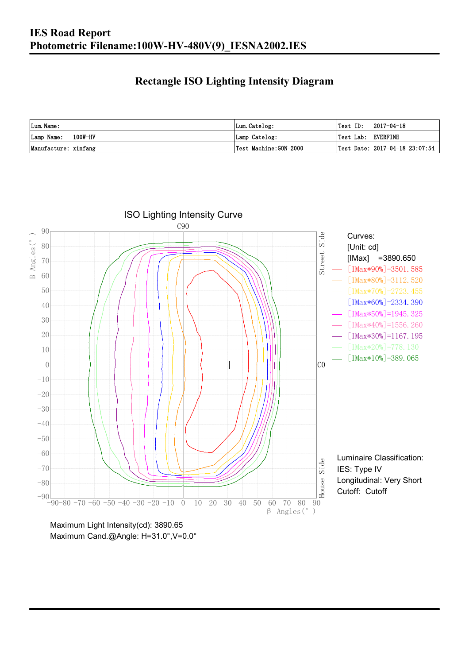### **Rectangle ISO Lighting Intensity Diagram**

| Lum. Name:           | Lum.Catelog:          | $\textsf{Test ID:} \quad 2017-04-18$ |
|----------------------|-----------------------|--------------------------------------|
| Lamp Name: 100W-HV   | Lamp Catelog:         | Test Lab: EVERFINE                   |
| Manufacture: xinfang | Test Machine:GON-2000 | Test Date: 2017-04-18 23:07:54       |



Maximum Light Intensity(cd): 3890.65 Maximum Cand.@Angle: H=31.0°,V=0.0°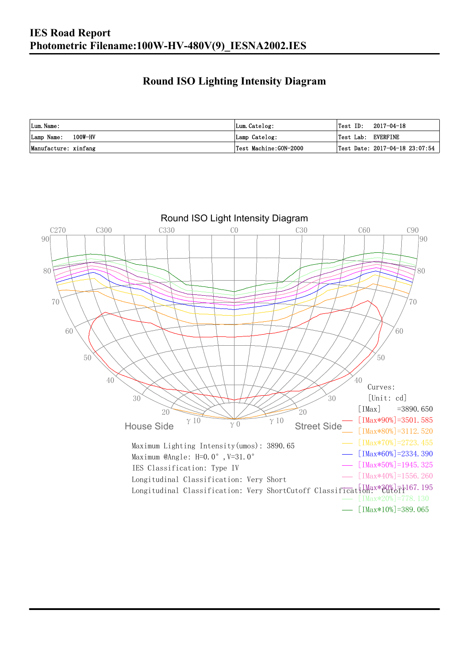### **Round ISO Lighting Intensity Diagram**

| Lum. Name:           | Lum.Catelog:          | Test ID:           | 2017-04-18                         |
|----------------------|-----------------------|--------------------|------------------------------------|
| Lamp Name: 100W-HV   | Lamp Catelog:         | Test Lab: EVERFINE |                                    |
| Manufacture: xinfang | Test Machine:GON-2000 |                    | Test Date: $2017-04-18$ $23:07:54$ |

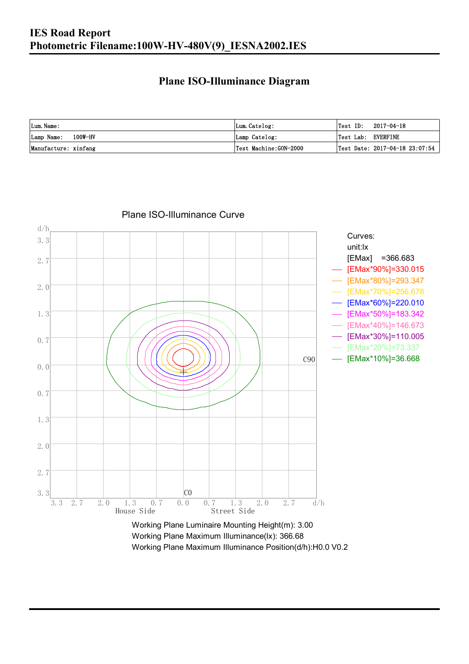### **Plane ISO-Illuminance Diagram**

| Lum. Name:           | Lum.Catelog:          | $\textsf{Test ID:} \quad 2017-04-18$           |
|----------------------|-----------------------|------------------------------------------------|
| Lamp Name: 100W-HV   | Lamp Catelog:         | Test Lab: EVERFINE                             |
| Manufacture: xinfang | Test Machine:GON-2000 | $\vert$ Test Date: 2017-04-18 23:07:54 $\vert$ |



#### Plane ISO-Illuminance Curve

Working Plane Maximum Illuminance(lx): 366.68 Working Plane Maximum Illuminance Position(d/h):H0.0 V0.2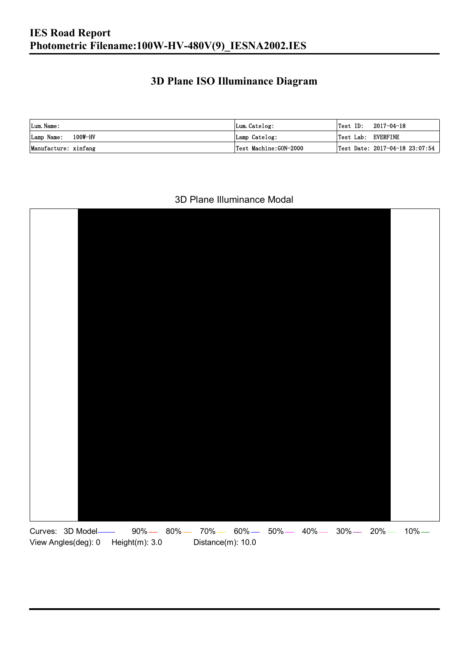### **3D Plane ISO Illuminance Diagram**

| Lum. Name:           | Lum.Catelog:          | Test ID:           | 2017-04-18                         |
|----------------------|-----------------------|--------------------|------------------------------------|
| Lamp Name: 100W-HV   | Lamp Catelog:         | Test Lab: EVERFINE |                                    |
| Manufacture: xinfang | Test Machine:GON-2000 |                    | Test Date: $2017-04-18$ $23:07:54$ |

#### 3D Plane Illuminance Modal

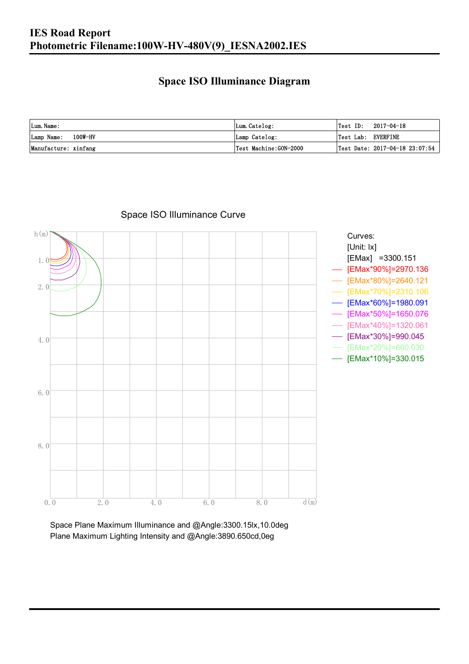### **Space ISO Illuminance Diagram**

| Lum. Name:           | Lum.Catelog:          | $\textsf{Test ID:} \quad 2017-04-18$           |
|----------------------|-----------------------|------------------------------------------------|
| Lamp Name: 100W-HV   | Lamp Catelog:         | Test Lab: EVERFINE                             |
| Manufacture: xinfang | Test Machine:GON-2000 | $\vert$ Test Date: 2017-04-18 23:07:54 $\vert$ |



Space ISO Illuminance Curve

Space Plane Maximum Illuminance and @Angle:3300.15lx,10.0deg Plane Maximum Lighting Intensity and @Angle:3890.650cd,0eg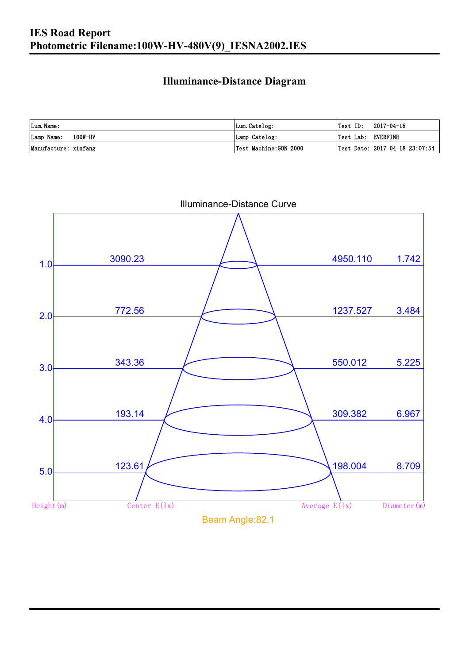### **Illuminance-Distance Diagram**

| Lum. Name:           | Lum.Catelog:          | Test ID:<br>2017-04-18         |
|----------------------|-----------------------|--------------------------------|
| Lamp Name: 100W-HV   | Lamp Catelog:         | Test Lab: EVERFINE             |
| Manufacture: xinfang | Test Machine:GON-2000 | Test Date: 2017-04-18 23:07:54 |



Illuminance-Distance Curve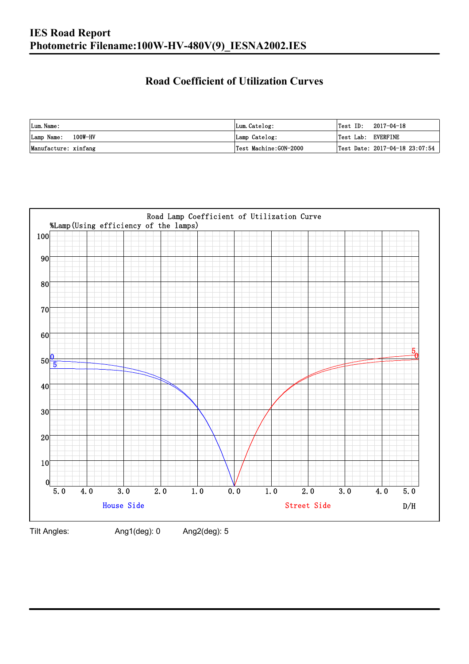## **Road Coefficient of Utilization Curves**

| Lum. Name:           | Lum.Catelog:          | Test ID:<br>2017-04-18         |
|----------------------|-----------------------|--------------------------------|
| Lamp Name: 100W-HV   | Lamp Catelog:         | Test Lab: EVERFINE             |
| Manufacture: xinfang | Test Machine:GON-2000 | Test Date: 2017-04-18 23:07:54 |



Tilt Angles: Ang1(deg): 0 Ang2(deg): 5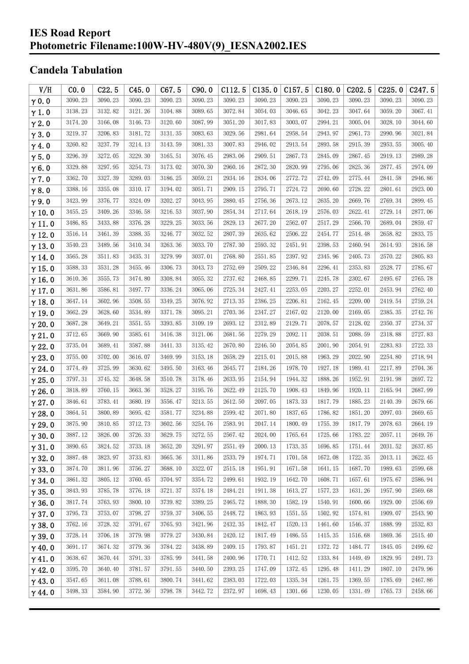### **IES Road Report Photometric Filename:100W-HV-480V(9)\_IESNA2002.IES**

# **Candela Tabulation**

| V/H           | CO.0    | C22.5   | C45.0   | C67.5   | C90.0   | C112.5  | C135.0  | C157.5  | C180.0  | C <sub>2</sub> 02.5 | C225.0  | C247.5  |
|---------------|---------|---------|---------|---------|---------|---------|---------|---------|---------|---------------------|---------|---------|
| $\gamma$ 0.0  | 3090.23 | 3090.23 | 3090.23 | 3090.23 | 3090.23 | 3090.23 | 3090.23 | 3090.23 | 3090.23 | 3090.23             | 3090.23 | 3090.23 |
| $\gamma$ 1.0  | 3138.23 | 3132.82 | 3121.26 | 3104.88 | 3089.65 | 3072.84 | 3054.03 | 3046.65 | 3042.23 | 3047.64             | 3059.20 | 3067.41 |
| $\gamma$ 2.0  | 3174.20 | 3166.08 | 3146.73 | 3120.60 | 3087.99 | 3051.20 | 3017.83 | 3003.07 | 2994.21 | 3005.04             | 3028.10 | 3044.60 |
| $\gamma$ 3.0  | 3219.37 | 3206.83 | 3181.72 | 3131.35 | 3083.63 | 3029.56 | 2981.64 | 2958.54 | 2943.97 | 2961.73             | 2990.96 | 3021.84 |
| $\gamma$ 4.0  | 3260.82 | 3237.79 | 3214.13 | 3143.59 | 3081.33 | 3007.83 | 2946.02 | 2913.54 | 2893.58 | 2915.39             | 2953.55 | 3005.40 |
| $\gamma$ 5.0  | 3296.39 | 3272.05 | 3229.30 | 3165.51 | 3076.45 | 2983.06 | 2909.51 | 2867.73 | 2845.09 | 2867.45             | 2919.13 | 2989.28 |
| $\gamma$ 6.0  | 3329.88 | 3297.95 | 3254.73 | 3173.02 | 3070.30 | 2960.16 | 2872.30 | 2820.99 | 2795.06 | 2825.36             | 2877.45 | 2974.09 |
| $\gamma$ 7.0  | 3362.70 | 3327.39 | 3289.03 | 3186.25 | 3059.21 | 2934.16 | 2834.06 | 2772.72 | 2742.09 | 2775.44             | 2841.58 | 2946.86 |
| $\gamma$ 8.0  | 3388.16 | 3355.08 | 3310.17 | 3194.02 | 3051.71 | 2909.15 | 2795.71 | 2724.72 | 2690.60 | 2728.22             | 2801.61 | 2923.00 |
| $\gamma$ 9.0  | 3423.99 | 3376.77 | 3324.09 | 3202.27 | 3043.95 | 2880.45 | 2756.36 | 2673.12 | 2635.20 | 2669.76             | 2769.34 | 2899.45 |
| $\gamma$ 10.0 | 3455.25 | 3409.26 | 3346.58 | 3216.53 | 3037.90 | 2854.34 | 2717.64 | 2618.19 | 2576.03 | 2622.41             | 2729.14 | 2877.06 |
| $\gamma$ 11.0 | 3486.85 | 3433.88 | 3376.28 | 3229.25 | 3033.56 | 2829.13 | 2677.20 | 2562.07 | 2517.29 | 2566.70             | 2689.04 | 2859.47 |
| $\gamma$ 12.0 | 3516.14 | 3461.39 | 3388.35 | 3246.77 | 3032.52 | 2807.39 | 2635.62 | 2506.22 | 2454.77 | 2514.48             | 2658.82 | 2833.75 |
| $\gamma$ 13.0 | 3540.23 | 3489.56 | 3410.34 | 3263.36 | 3033.70 | 2787.30 | 2593.32 | 2451.91 | 2398.53 | 2460.94             | 2614.93 | 2816.58 |
| $\gamma$ 14.0 | 3565.28 | 3511.83 | 3435.31 | 3279.99 | 3037.01 | 2768.80 | 2551.85 | 2397.92 | 2345.96 | 2405.73             | 2570.22 | 2805.83 |
| $\gamma$ 15.0 | 3588.33 | 3531.28 | 3455.46 | 3306.73 | 3043.73 | 2752.69 | 2509.22 | 2346.84 | 2296.41 | 2353.83             | 2528.77 | 2785.67 |
| $\gamma$ 16.0 | 3610.36 | 3555.73 | 3474.80 | 3308.84 | 3055.32 | 2737.62 | 2468.85 | 2299.71 | 2245.78 | 2302.67             | 2495.67 | 2765.78 |
| $\gamma$ 17.0 | 3631.86 | 3586.81 | 3497.77 | 3336.24 | 3065.06 | 2725.34 | 2427.41 | 2253.05 | 2203.27 | 2252.01             | 2453.94 | 2762.40 |
| $\gamma$ 18.0 | 3647.14 | 3602.96 | 3508.55 | 3349.25 | 3076.92 | 2713.35 | 2386.25 | 2206.81 | 2162.45 | 2209.00             | 2419.54 | 2759.24 |
| $\gamma$ 19.0 | 3662.29 | 3628.60 | 3534.89 | 3371.78 | 3095.21 | 2703.36 | 2347.27 | 2167.02 | 2120.00 | 2169.05             | 2385.35 | 2742.76 |
| $\gamma$ 20.0 | 3687.28 | 3649.21 | 3551.55 | 3393.85 | 3109.19 | 2693.12 | 2312.89 | 2129.71 | 2078.57 | 2128.02             | 2350.37 | 2734.37 |
| $\gamma$ 21.0 | 3712.65 | 3669.90 | 3585.61 | 3416.38 | 3121.06 | 2681.56 | 2279.29 | 2092.11 | 2038.51 | 2088.59             | 2318.88 | 2727.83 |
| $\gamma$ 22.0 | 3735.04 | 3689.41 | 3587.88 | 3441.33 | 3135.42 | 2670.80 | 2246.50 | 2054.85 | 2001.90 | 2054.91             | 2283.83 | 2722.33 |
| $\gamma$ 23.0 | 3755.00 | 3702.00 | 3616.07 | 3469.99 | 3153.18 | 2658.29 | 2215.01 | 2015.88 | 1963.29 | 2022.90             | 2254.80 | 2718.94 |
| $\gamma$ 24.0 | 3774.49 | 3725.99 | 3630.62 | 3495.50 | 3163.46 | 2645.77 | 2184.26 | 1978.70 | 1927.18 | 1989.41             | 2217.89 | 2704.36 |
| $\gamma$ 25.0 | 3797.31 | 3745.32 | 3648.58 | 3510.78 | 3178.46 | 2633.95 | 2154.94 | 1944.32 | 1888.26 | 1952.91             | 2191.98 | 2697.72 |
| $\gamma$ 26.0 | 3818.89 | 3760.15 | 3663.36 | 3528.27 | 3195.76 | 2622.49 | 2125.70 | 1908.43 | 1849.96 | 1920.11             | 2165.94 | 2687.99 |
| $\gamma$ 27.0 | 3846.61 | 3783.41 | 3680.19 | 3556.47 | 3213.55 | 2612.50 | 2097.05 | 1873.33 | 1817.79 | 1885.23             | 2140.39 | 2679.66 |
| $\gamma$ 28.0 | 3864.51 | 3800.89 | 3695.42 | 3581.77 | 3234.88 | 2599.42 | 2071.80 | 1837.65 | 1786.82 | 1851.20             | 2097.03 | 2669.65 |
| $\gamma$ 29.0 | 3875.90 | 3810.85 | 3712.73 | 3602.56 | 3254.76 | 2583.91 | 2047.14 | 1800.49 | 1755.39 | 1817.79             | 2078.63 | 2664.19 |
| $\gamma$ 30.0 | 3887.12 | 3826.00 | 3726.33 | 3629.75 | 3272.55 | 2567.42 | 2024.00 | 1765.64 | 1725.66 | 1783.22             | 2057.11 | 2649.76 |
| $\gamma$ 31.0 | 3890.65 | 3824.52 | 3733.18 | 3652.20 | 3291.97 | 2551.49 | 2000.13 | 1733.35 | 1696.85 | 1751.44             | 2031.52 | 2637.85 |
| $\gamma$ 32.0 | 3887.48 | 3823.97 | 3733.83 | 3665.36 | 3311.86 | 2533.79 | 1974.71 | 1701.58 | 1672.08 | 1722.35             | 2013.11 | 2622.45 |
| $\gamma$ 33.0 | 3874.70 | 3811.96 | 3756.27 | 3688.10 | 3322.07 | 2515.18 | 1951.91 | 1671.58 | 1641.15 | 1687.70             | 1989.63 | 2599.68 |
| $\gamma$ 34.0 | 3861.32 | 3805.12 | 3760.45 | 3704.97 | 3354.72 | 2499.61 | 1932.19 | 1642.70 | 1608.71 | 1657.61             | 1975.67 | 2586.94 |
| $\gamma$ 35.0 | 3843.93 | 3785.78 | 3776.18 | 3721.37 | 3374.18 | 2484.21 | 1911.38 | 1613.27 | 1577.23 | 1631.26             | 1957.90 | 2569.68 |
| $\gamma$ 36.0 | 3817.74 | 3763.93 | 3800.10 | 3739.82 | 3389.25 | 2465.72 | 1888.30 | 1582.19 | 1540.91 | 1600.66             | 1929.00 | 2556.69 |
| $\gamma$ 37.0 | 3795.73 | 3753.07 | 3798.27 | 3759.37 | 3406.55 | 2448.72 | 1863.93 | 1551.55 | 1502.92 | 1574.81             | 1909.07 | 2543.90 |
| $\gamma$ 38.0 | 3762.16 | 3728.32 | 3791.67 | 3765.93 | 3421.96 | 2432.35 | 1842.47 | 1520.13 | 1461.60 | 1546.37             | 1888.99 | 2532.83 |
| $\gamma$ 39.0 | 3728.14 | 3706.18 | 3779.98 | 3779.27 | 3430.84 | 2420.12 | 1817.49 | 1486.55 | 1415.35 | 1516.68             | 1869.36 | 2515.40 |
| $\gamma$ 40.0 | 3691.17 | 3674.32 | 3779.36 | 3784.22 | 3438.89 | 2409.15 | 1793.87 | 1451.21 | 1372.72 | 1484.77             | 1845.05 | 2499.62 |
| $\gamma$ 41.0 | 3638.67 | 3670.44 | 3791.33 | 3785.99 | 3441.58 | 2400.96 | 1770.71 | 1412.52 | 1333.84 | 1449.49             | 1829.95 | 2491.73 |
| $\gamma$ 42.0 | 3595.70 | 3640.40 | 3781.57 | 3791.55 | 3440.50 | 2393.25 | 1747.09 | 1372.45 | 1295.48 | 1411.29             | 1807.10 | 2479.96 |
| $\gamma$ 43.0 | 3547.65 | 3611.08 | 3788.61 | 3800.74 | 3441.62 | 2383.03 | 1722.03 | 1335.34 | 1261.75 | 1369.55             | 1785.69 | 2467.86 |
| $\gamma$ 44.0 | 3498.33 | 3584.90 | 3772.36 | 3798.78 | 3442.72 | 2372.97 | 1698.43 | 1301.66 | 1230.05 | 1331.49             | 1765.73 | 2458.66 |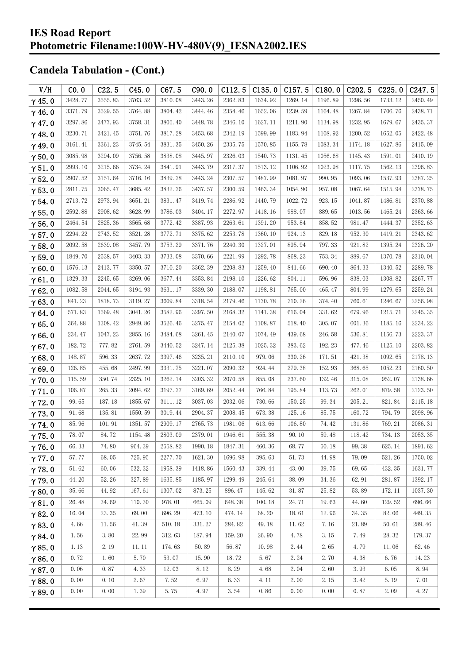| V/H           | CO.0    | C22.5   | C45.0   | C67.5   | C90.0   | C112.5  | C135.0  | C157.5  | C180.0  | C <sub>202.5</sub> | C225.0  | C <sub>247.5</sub> |
|---------------|---------|---------|---------|---------|---------|---------|---------|---------|---------|--------------------|---------|--------------------|
| $\gamma$ 45.0 | 3428.77 | 3555.83 | 3763.52 | 3810.08 | 3443.26 | 2362.83 | 1674.92 | 1269.14 | 1196.89 | 1296.56            | 1733.12 | 2450.49            |
| $\gamma$ 46.0 | 3371.79 | 3529.55 | 3764.88 | 3804.42 | 3444.46 | 2354.46 | 1652.06 | 1239.59 | 1164.48 | 1267.84            | 1706.76 | 2438.71            |
| $\gamma$ 47.0 | 3297.86 | 3477.93 | 3758.31 | 3805.40 | 3448.78 | 2346.10 | 1627.11 | 1211.90 | 1134.98 | 1232.95            | 1679.67 | 2435.37            |
| $\gamma$ 48.0 | 3230.71 | 3421.45 | 3751.76 | 3817.28 | 3453.68 | 2342.19 | 1599.99 | 1183.94 | 1108.92 | 1200.52            | 1652.05 | 2422.48            |
| $\gamma$ 49.0 | 3161.41 | 3361.23 | 3745.54 | 3831.35 | 3450.26 | 2335.75 | 1570.85 | 1155.78 | 1083.34 | 1174.18            | 1627.86 | 2415.09            |
| $\gamma$ 50.0 | 3085.98 | 3294.09 | 3756.58 | 3838.08 | 3445.97 | 2326.03 | 1540.73 | 1131.45 | 1056.68 | 1145.43            | 1591.01 | 2410.19            |
| $\gamma$ 51.0 | 2993.10 | 3215.66 | 3734.24 | 3841.91 | 3443.79 | 2317.37 | 1513.12 | 1106.92 | 1023.98 | 1117.75            | 1562.13 | 2396.83            |
| $\gamma$ 52.0 | 2907.52 | 3151.64 | 3716.16 | 3839.78 | 3443.24 | 2307.57 | 1487.99 | 1081.97 | 990.95  | 1093.06            | 1537.93 | 2387.25            |
| $\gamma$ 53.0 | 2811.75 | 3065.47 | 3685.42 | 3832.76 | 3437.57 | 2300.59 | 1463.34 | 1054.90 | 957.08  | 1067.64            | 1515.94 | 2378.75            |
| $\gamma$ 54.0 | 2713.72 | 2973.94 | 3651.21 | 3831.47 | 3419.74 | 2286.92 | 1440.79 | 1022.72 | 923.15  | 1041.87            | 1486.81 | 2370.88            |
| $\gamma$ 55.0 | 2592.88 | 2908.62 | 3628.99 | 3786.03 | 3404.17 | 2272.97 | 1418.16 | 988.07  | 889.65  | 1013.56            | 1465.24 | 2363.66            |
| $\gamma$ 56.0 | 2464.54 | 2825.36 | 3565.68 | 3772.42 | 3387.93 | 2263.61 | 1391.20 | 953.84  | 858.52  | 981.47             | 1444.37 | 2352.63            |
| $\gamma$ 57.0 | 2294.22 | 2743.52 | 3521.28 | 3772.71 | 3375.62 | 2253.78 | 1360.10 | 924.13  | 829.18  | 952.30             | 1419.21 | 2343.62            |
| $\gamma$ 58.0 | 2092.58 | 2639.08 | 3457.79 | 3753.29 | 3371.76 | 2240.30 | 1327.01 | 895.94  | 797.33  | 921.82             | 1395.24 | 2326.20            |
| $\gamma$ 59.0 | 1849.70 | 2538.57 | 3403.33 | 3733.08 | 3370.66 | 2221.99 | 1292.78 | 868.23  | 753.34  | 889.67             | 1370.78 | 2310.04            |
| $\gamma$ 60.0 | 1576.13 | 2413.77 | 3350.57 | 3710.20 | 3362.39 | 2208.83 | 1259.40 | 841.66  | 690.40  | 864.33             | 1340.52 | 2289.78            |
| $\gamma$ 61.0 | 1329.33 | 2245.65 | 3269.06 | 3677.44 | 3353.84 | 2198.10 | 1226.62 | 804.11  | 596.96  | 838.03             | 1308.82 | 2267.77            |
| $\gamma$ 62.0 | 1082.58 | 2044.65 | 3194.93 | 3631.17 | 3339.30 | 2188.07 | 1198.81 | 765.00  | 465.47  | 804.99             | 1279.65 | 2259.24            |
| $\gamma$ 63.0 | 841.23  | 1818.73 | 3119.27 | 3609.84 | 3318.54 | 2179.46 | 1170.78 | 710.26  | 374.40  | 760.61             | 1246.67 | 2256.98            |
| $\gamma$ 64.0 | 571.83  | 1569.48 | 3041.26 | 3582.96 | 3297.50 | 2168.32 | 1141.38 | 616.04  | 331.62  | 679.96             | 1215.71 | 2245.35            |
| $\gamma$ 65.0 | 364.88  | 1308.42 | 2949.86 | 3526.46 | 3275.47 | 2154.02 | 1108.87 | 518.40  | 305.07  | 601.36             | 1185.16 | 2234.22            |
| $\gamma$ 66.0 | 234.47  | 1047.23 | 2855.16 | 3484.68 | 3261.45 | 2140.07 | 1074.49 | 439.68  | 246.58  | 536.81             | 1156.73 | 2223.37            |
| $\gamma$ 67.0 | 182.72  | 777.82  | 2761.59 | 3440.52 | 3247.14 | 2125.38 | 1025.32 | 383.62  | 192.23  | 477.46             | 1125.10 | 2203.82            |
| $\gamma$ 68.0 | 148.87  | 596.33  | 2637.72 | 3397.46 | 3235.21 | 2110.10 | 979.06  | 330.26  | 171.51  | 421.38             | 1092.65 | 2178.13            |
| $\gamma$ 69.0 | 126.85  | 455.68  | 2497.99 | 3331.75 | 3221.07 | 2090.32 | 924.44  | 279.38  | 152.93  | 368.65             | 1052.23 | 2160.50            |
| $\gamma$ 70.0 | 115.59  | 350.74  | 2325.10 | 3262.14 | 3203.32 | 2070.58 | 855.08  | 237.60  | 132.46  | 315.08             | 952.07  | 2138.66            |
| $\gamma$ 71.0 | 106.87  | 265.33  | 2094.62 | 3197.77 | 3169.69 | 2052.44 | 766.84  | 195.84  | 113.73  | 262.01             | 879.58  | 2123.50            |
| $\gamma$ 72.0 | 99.65   | 187.18  | 1855.67 | 3111.12 | 3037.03 | 2032.06 | 730.66  | 150.25  | 99.34   | 205.21             | 821.84  | 2115.18            |
| $\gamma$ 73.0 | 91.68   | 135.81  | 1550.59 | 3019.44 | 2904.37 | 2008.45 | 673.38  | 125.16  | 85.75   | 160.72             | 794.79  | 2098.96            |
| $\gamma$ 74.0 | 85.96   | 101.91  | 1351.57 | 2909.17 | 2765.73 | 1981.06 | 613.66  | 106.80  | 74.42   | 131.86             | 769.21  | 2086.31            |
| $\gamma$ 75.0 | 78.07   | 84.72   | 1154.48 | 2803.09 | 2379.01 | 1946.61 | 555.38  | 90.10   | 59.48   | 118.42             | 734.13  | 2053.35            |
| $\gamma$ 76.0 | 66.33   | 74.80   | 964.39  | 2558.82 | 1990.18 | 1847.31 | 460.36  | 68.77   | 50.18   | 99.38              | 625.14  | 1891.62            |
| $\gamma$ 77.0 | 57.77   | 68.05   | 725.95  | 2277.70 | 1621.30 | 1696.98 | 395.63  | 51.73   | 44.98   | 79.09              | 521.26  | 1750.02            |
| $\gamma$ 78.0 | 51.62   | 60.06   | 532.32  | 1958.39 | 1418.86 | 1560.43 | 339.44  | 43.00   | 39.75   | 69.65              | 432.35  | 1631.77            |
| $\gamma$ 79.0 | 44.20   | 52.26   | 327.89  | 1635.85 | 1185.97 | 1299.49 | 245.64  | 38.09   | 34.36   | 62.91              | 281.87  | 1392.17            |
| $\gamma$ 80.0 | 35.66   | 44.92   | 167.61  | 1307.02 | 873.25  | 896.47  | 145.62  | 31.87   | 25.82   | 53.89              | 172.11  | 1037.30            |
| $\gamma$ 81.0 | 26.48   | 34.69   | 110.30  | 978.01  | 665.09  | 648.38  | 100.18  | 24.71   | 19.63   | 44.60              | 129.52  | 696.66             |
| $\gamma$ 82.0 | 16.04   | 23.35   | 69.00   | 696.29  | 473.10  | 474.14  | 68.20   | 18.61   | 12.96   | 34.35              | 82.06   | 449.35             |
| $\gamma$ 83.0 | 4.66    | 11.56   | 41.39   | 510.18  | 331.27  | 284.82  | 49.18   | 11.62   | 7.16    | 21.89              | 50.61   | 289.46             |
| $\gamma$ 84.0 | 1.56    | 3.80    | 22.99   | 312.63  | 187.94  | 159.20  | 26.90   | 4.78    | 3.15    | 7.49               | 28.32   | 179.37             |
| $\gamma$ 85.0 | 1.13    | 2.19    | 11.11   | 174.63  | 50.89   | 56.87   | 10.98   | 2.44    | 2.65    | 4.79               | 11.06   | 62.46              |
| $\gamma$ 86.0 | 0.72    | 1.60    | 5.70    | 53.07   | 15.90   | 18.72   | 5.67    | 2.24    | 2.70    | 4.38               | 6.76    | 14.23              |
| $\gamma$ 87.0 | 0.06    | 0.87    | 4.33    | 12.03   | 8.12    | 8.29    | 4.68    | 2.04    | 2.60    | 3.93               | 6.05    | 8.94               |
| $\gamma$ 88.0 | 0.00    | 0.10    | 2.67    | 7.52    | 6.97    | 6.33    | 4.11    | 2.00    | 2.15    | 3.42               | 5.19    | 7.01               |
| $\gamma$ 89.0 | 0.00    | 0.00    | 1.39    | 5.75    | 4.97    | 3.54    | 0.86    | 0.00    | 0.00    | 0.87               | 2.09    | 4.27               |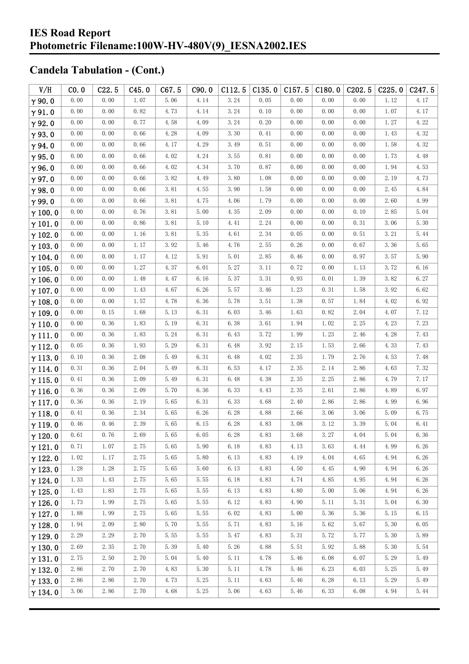| V/H            | CO.0     | C22.5 | C45.0 | C67.5                | C90.0 | C112.5 | C135.0 | C157.5 | C180.0 | C202.5 | C225.0   | C <sub>247.5</sub> |
|----------------|----------|-------|-------|----------------------|-------|--------|--------|--------|--------|--------|----------|--------------------|
| $\gamma$ 90.0  | 0.00     | 0.00  | 1.07  | 5.06                 | 4.14  | 3.24   | 0.05   | 0.00   | 0.00   | 0.00   | 1.12     | 4.17               |
| $\gamma$ 91.0  | 0.00     | 0.00  | 0.82  | 4.73                 | 4.14  | 3.24   | 0.10   | 0.00   | 0.00   | 0.00   | 1.07     | 4.17               |
| $\gamma$ 92.0  | 0.00     | 0.00  | 0.77  | 4.58                 | 4.09  | 3.24   | 0.20   | 0.00   | 0.00   | 0.00   | 1.27     | 4.22               |
| $\gamma$ 93.0  | 0.00     | 0.00  | 0.66  | 4.28                 | 4.09  | 3.30   | 0.41   | 0.00   | 0.00   | 0.00   | 1.43     | 4.32               |
| $\gamma$ 94.0  | 0.00     | 0.00  | 0.66  | 4.17                 | 4.29  | 3.49   | 0.51   | 0.00   | 0.00   | 0.00   | 1.58     | 4.32               |
| $\gamma$ 95.0  | 0.00     | 0.00  | 0.66  | 4.02                 | 4.24  | 3.55   | 0.81   | 0.00   | 0.00   | 0.00   | 1.73     | 4.48               |
| $\gamma$ 96.0  | 0.00     | 0.00  | 0.66  | 4.02                 | 4.34  | 3.70   | 0.87   | 0.00   | 0.00   | 0.00   | 1.94     | 4.53               |
| $\gamma$ 97.0  | 0.00     | 0.00  | 0.66  | 3.82                 | 4.49  | 3.80   | 1.08   | 0.00   | 0.00   | 0.00   | 2.19     | 4.73               |
| $\gamma$ 98.0  | 0.00     | 0.00  | 0.66  | 3.81                 | 4.55  | 3.90   | 1.58   | 0.00   | 0.00   | 0.00   | 2.45     | 4.84               |
| $\gamma$ 99.0  | 0.00     | 0.00  | 0.66  | 3.81                 | 4.75  | 4.06   | 1.79   | 0.00   | 0.00   | 0.00   | 2.60     | 4.99               |
| $\gamma$ 100.0 | 0.00     | 0.00  | 0.76  | 3.81                 | 5.00  | 4.35   | 2.09   | 0.00   | 0.00   | 0.10   | 2.85     | 5.04               |
| $\gamma$ 101.0 | 0.00     | 0.00  | 0.86  | 3.81                 | 5.10  | 4.41   | 2.24   | 0.00   | 0.00   | 0.31   | 3.06     | 5.30               |
| $\gamma$ 102.0 | 0.00     | 0.00  | 1.16  | $3.\,\allowbreak 81$ | 5.35  | 4.61   | 2.34   | 0.05   | 0.00   | 0.51   | $3.\,21$ | 5.44               |
| $\gamma$ 103.0 | 0.00     | 0.00  | 1.17  | 3.92                 | 5.46  | 4.76   | 2.55   | 0.26   | 0.00   | 0.67   | 3.36     | 5.65               |
| $\gamma$ 104.0 | 0.00     | 0.00  | 1.17  | 4.12                 | 5.91  | 5.01   | 2.85   | 0.46   | 0.00   | 0.97   | 3.57     | 5.90               |
| $\gamma$ 105.0 | 0.00     | 0.00  | 1.27  | 4.37                 | 6.01  | 5.27   | 3.11   | 0.72   | 0.00   | 1.13   | 3.72     | 6.16               |
| $\gamma$ 106.0 | 0.00     | 0.00  | 1.48  | 4.47                 | 6.16  | 5.37   | 3.31   | 0.93   | 0.01   | 1.39   | 3.82     | 6.27               |
| $\gamma$ 107.0 | 0.00     | 0.00  | 1.43  | 4.67                 | 6.26  | 5.57   | 3.46   | 1.23   | 0.31   | 1.58   | 3.92     | 6.62               |
| $\gamma$ 108.0 | 0.00     | 0.00  | 1.57  | 4.78                 | 6.36  | 5.78   | 3.51   | 1.38   | 0.57   | 1.84   | 4.02     | 6.92               |
| $\gamma$ 109.0 | 0.00     | 0.15  | 1.68  | 5.13                 | 6.31  | 6.03   | 3.46   | 1.63   | 0.82   | 2.04   | 4.07     | 7.12               |
| $\gamma$ 110.0 | 0.00     | 0.36  | 1.83  | 5.19                 | 6.31  | 6.38   | 3.61   | 1.94   | 1.02   | 2.25   | 4.23     | 7.23               |
| $\gamma$ 111.0 | 0.00     | 0.36  | 1.83  | 5.24                 | 6.31  | 6.43   | 3.72   | 1.99   | 1.23   | 2.46   | 4.28     | 7.43               |
| $\gamma$ 112.0 | 0.05     | 0.36  | 1.93  | 5.29                 | 6.31  | 6.48   | 3.92   | 2.15   | 1.53   | 2.66   | 4.33     | 7.43               |
| $\gamma$ 113.0 | 0.10     | 0.36  | 2.08  | 5.49                 | 6.31  | 6.48   | 4.02   | 2.35   | 1.79   | 2.76   | 4.53     | 7.48               |
| $\gamma$ 114.0 | 0.31     | 0.36  | 2.04  | 5.49                 | 6.31  | 6.53   | 4.17   | 2.35   | 2.14   | 2.86   | 4.63     | 7.32               |
| $\gamma$ 115.0 | 0.41     | 0.36  | 2.09  | 5.49                 | 6.31  | 6.48   | 4.38   | 2.35   | 2.25   | 2.86   | 4.79     | 7.17               |
| $\gamma$ 116.0 | 0.36     | 0.36  | 2.09  | 5.70                 | 6.36  | 6.33   | 4.43   | 2.35   | 2.61   | 2.86   | 4.89     | 6.97               |
| $\gamma$ 117.0 | 0.36     | 0.36  | 2.19  | 5.65                 | 6.31  | 6.33   | 4.68   | 2.40   | 2.86   | 2.86   | 4.99     | 6.96               |
| $\gamma$ 118.0 | 0.41     | 0.36  | 2.34  | 5.65                 | 6.26  | 6.28   | 4.88   | 2.66   | 3.06   | 3.06   | 5.09     | 6.75               |
| $\gamma$ 119.0 | $0.46\,$ | 0.46  | 2.39  | 5.65                 | 6.15  | 6.28   | 4.83   | 3.08   | 3.12   | 3.39   | 5.04     | 6.41               |
| $\gamma$ 120.0 | 0.61     | 0.76  | 2.69  | 5.65                 | 6.05  | 6.28   | 4.83   | 3.68   | 3.27   | 4.04   | 5.04     | 6.36               |
| $\gamma$ 121.0 | 0.71     | 1.07  | 2.75  | 5.65                 | 5.90  | 6.18   | 4.83   | 4.13   | 3.63   | 4.44   | 4.99     | 6.26               |
| $\gamma$ 122.0 | 1.02     | 1.17  | 2.75  | 5.65                 | 5.80  | 6.13   | 4.83   | 4.19   | 4.04   | 4.65   | 4.94     | 6.26               |
| $\gamma$ 123.0 | 1.28     | 1.28  | 2.75  | 5.65                 | 5.60  | 6.13   | 4.83   | 4.50   | 4.45   | 4.90   | 4.94     | 6.26               |
| $\gamma$ 124.0 | 1.33     | 1.43  | 2.75  | 5.65                 | 5.55  | 6.18   | 4.83   | 4.74   | 4.85   | 4.95   | 4.94     | 6.26               |
| $\gamma$ 125.0 | 1.43     | 1.83  | 2.75  | 5.65                 | 5.55  | 6.13   | 4.83   | 4.80   | 5.00   | 5.06   | 4.94     | 6.26               |
| $\gamma$ 126.0 | 1.73     | 1.99  | 2.75  | 5.65                 | 5.55  | 6.12   | 4.83   | 4.90   | 5.11   | 5.31   | 5.04     | 6.30               |
| $\gamma$ 127.0 | 1.88     | 1.99  | 2.75  | 5.65                 | 5.55  | 6.02   | 4.83   | 5.00   | 5.36   | 5.36   | 5.15     | 6.15               |
| $\gamma$ 128.0 | 1.94     | 2.09  | 2.80  | 5.70                 | 5.55  | 5.71   | 4.83   | 5.16   | 5.62   | 5.67   | 5.30     | 6.05               |
| $\gamma$ 129.0 | 2.29     | 2.29  | 2.70  | 5.55                 | 5.55  | 5.47   | 4.83   | 5.31   | 5.72   | 5.77   | 5.30     | 5.89               |
| $\gamma$ 130.0 | 2.69     | 2.35  | 2.70  | 5.39                 | 5.40  | 5.26   | 4.88   | 5.51   | 5.92   | 5.88   | 5.30     | 5.54               |
| $\gamma$ 131.0 | 2.75     | 2.50  | 2.70  | 5.04                 | 5.40  | 5.11   | 4.78   | 5.46   | 6.08   | 6.07   | 5.29     | 5.49               |
| $\gamma$ 132.0 | 2.86     | 2.70  | 2.70  | 4.83                 | 5.30  | 5.11   | 4.78   | 5.46   | 6.23   | 6.03   | 5.25     | 5.49               |
| $\gamma$ 133.0 | 2.86     | 2.86  | 2.70  | 4.73                 | 5.25  | 5.11   | 4.63   | 5.46   | 6.28   | 6.13   | 5.29     | 5.49               |
| $\gamma$ 134.0 | 3.06     | 2.86  | 2.70  | 4.68                 | 5.25  | 5.06   | 4.63   | 5.46   | 6.33   | 6.08   | 4.94     | 5.44               |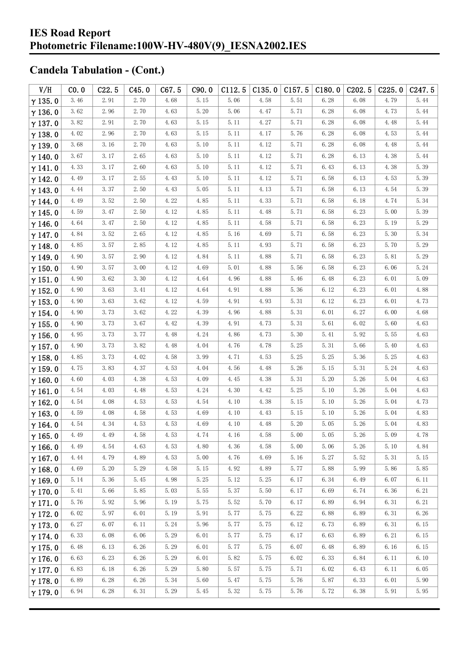| V/H            | CO.0 | C22.5 | C45.0 | C67.5 | C90.0 | C112.5 | C135.0 | C157.5 | C180.0 | C <sub>2</sub> 02.5 | C225.0 | C247.5 |
|----------------|------|-------|-------|-------|-------|--------|--------|--------|--------|---------------------|--------|--------|
| $\gamma$ 135.0 | 3.46 | 2.91  | 2.70  | 4.68  | 5.15  | 5.06   | 4.58   | 5.51   | 6.28   | 6.08                | 4.79   | 5.44   |
| $\gamma$ 136.0 | 3.62 | 2.96  | 2.70  | 4.63  | 5.20  | 5.06   | 4.47   | 5.71   | 6.28   | 6.08                | 4.73   | 5.44   |
| $\gamma$ 137.0 | 3.82 | 2.91  | 2.70  | 4.63  | 5.15  | 5.11   | 4.27   | 5.71   | 6.28   | 6.08                | 4.48   | 5.44   |
| $\gamma$ 138.0 | 4.02 | 2.96  | 2.70  | 4.63  | 5.15  | 5.11   | 4.17   | 5.76   | 6.28   | 6.08                | 4.53   | 5.44   |
| $\gamma$ 139.0 | 3.68 | 3.16  | 2.70  | 4.63  | 5.10  | 5.11   | 4.12   | 5.71   | 6.28   | 6.08                | 4.48   | 5.44   |
| $\gamma$ 140.0 | 3.67 | 3.17  | 2.65  | 4.63  | 5.10  | 5.11   | 4.12   | 5.71   | 6.28   | 6.13                | 4.38   | 5.44   |
| $\gamma$ 141.0 | 4.33 | 3.17  | 2.60  | 4.63  | 5.10  | 5.11   | 4.12   | 5.71   | 6.43   | 6.13                | 4.38   | 5.39   |
| $\gamma$ 142.0 | 4.49 | 3.17  | 2.55  | 4.43  | 5.10  | 5.11   | 4.12   | 5.71   | 6.58   | 6.13                | 4.53   | 5.39   |
| $\gamma$ 143.0 | 4.44 | 3.37  | 2.50  | 4.43  | 5.05  | 5.11   | 4.13   | 5.71   | 6.58   | 6.13                | 4.54   | 5.39   |
| $\gamma$ 144.0 | 4.49 | 3.52  | 2.50  | 4.22  | 4.85  | 5.11   | 4.33   | 5.71   | 6.58   | 6.18                | 4.74   | 5.34   |
| $\gamma$ 145.0 | 4.59 | 3.47  | 2.50  | 4.12  | 4.85  | 5.11   | 4.48   | 5.71   | 6.58   | 6.23                | 5.00   | 5.39   |
| $\gamma$ 146.0 | 4.64 | 3.47  | 2.50  | 4.12  | 4.85  | 5.11   | 4.58   | 5.71   | 6.58   | 6.23                | 5.19   | 5.29   |
| $\gamma$ 147.0 | 4.84 | 3.52  | 2.65  | 4.12  | 4.85  | 5.16   | 4.69   | 5.71   | 6.58   | 6.23                | 5.30   | 5.34   |
| $\gamma$ 148.0 | 4.85 | 3.57  | 2.85  | 4.12  | 4.85  | 5.11   | 4.93   | 5.71   | 6.58   | 6.23                | 5.70   | 5.29   |
| $\gamma$ 149.0 | 4.90 | 3.57  | 2.90  | 4.12  | 4.84  | 5.11   | 4.88   | 5.71   | 6.58   | 6.23                | 5.81   | 5.29   |
| $\gamma$ 150.0 | 4.90 | 3.57  | 3.00  | 4.12  | 4.69  | 5.01   | 4.88   | 5.56   | 6.58   | 6.23                | 6.06   | 5.24   |
| $\gamma$ 151.0 | 4.90 | 3.62  | 3.30  | 4.12  | 4.64  | 4.96   | 4.88   | 5.46   | 6.48   | 6.23                | 6.01   | 5.09   |
| $\gamma$ 152.0 | 4.90 | 3.63  | 3.41  | 4.12  | 4.64  | 4.91   | 4.88   | 5.36   | 6.12   | 6.23                | 6.01   | 4.88   |
| $\gamma$ 153.0 | 4.90 | 3.63  | 3.62  | 4.12  | 4.59  | 4.91   | 4.93   | 5.31   | 6.12   | 6.23                | 6.01   | 4.73   |
| $\gamma$ 154.0 | 4.90 | 3.73  | 3.62  | 4.22  | 4.39  | 4.96   | 4.88   | 5.31   | 6.01   | 6.27                | 6.00   | 4.68   |
| $\gamma$ 155.0 | 4.90 | 3.73  | 3.67  | 4.42  | 4.39  | 4.91   | 4.73   | 5.31   | 5.61   | 6.02                | 5.60   | 4.63   |
| $\gamma$ 156.0 | 4.95 | 3.73  | 3.77  | 4.48  | 4.24  | 4.86   | 4.73   | 5.30   | 5.41   | 5.92                | 5.55   | 4.63   |
| $\gamma$ 157.0 | 4.90 | 3.73  | 3.82  | 4.48  | 4.04  | 4.76   | 4.78   | 5.25   | 5.31   | 5.66                | 5.40   | 4.63   |
| $\gamma$ 158.0 | 4.85 | 3.73  | 4.02  | 4.58  | 3.99  | 4.71   | 4.53   | 5.25   | 5.25   | 5.36                | 5.25   | 4.63   |
| $\gamma$ 159.0 | 4.75 | 3.83  | 4.37  | 4.53  | 4.04  | 4.56   | 4.48   | 5.26   | 5.15   | 5.31                | 5.24   | 4.63   |
| $\gamma$ 160.0 | 4.60 | 4.03  | 4.38  | 4.53  | 4.09  | 4.45   | 4.38   | 5.31   | 5.20   | 5.26                | 5.04   | 4.63   |
| $\gamma$ 161.0 | 4.54 | 4.03  | 4.48  | 4.53  | 4.24  | 4.30   | 4.42   | 5.25   | 5.10   | 5.26                | 5.04   | 4.63   |
| $\gamma$ 162.0 | 4.54 | 4.08  | 4.53  | 4.53  | 4.54  | 4.10   | 4.38   | 5.15   | 5.10   | 5.26                | 5.04   | 4.73   |
| $\gamma$ 163.0 | 4.59 | 4.08  | 4.58  | 4.53  | 4.69  | 4.10   | 4.43   | 5.15   | 5.10   | 5.26                | 5.04   | 4.83   |
| $\gamma$ 164.0 | 4.54 | 4.34  | 4.53  | 4.53  | 4.69  | 4.10   | 4.48   | 5.20   | 5.05   | 5.26                | 5.04   | 4.83   |
| $\gamma$ 165.0 | 4.49 | 4.49  | 4.58  | 4.53  | 4.74  | 4.16   | 4.58   | 5.00   | 5.05   | $5.\,26$            | 5.09   | 4.78   |
| $\gamma$ 166.0 | 4.49 | 4.54  | 4.63  | 4.53  | 4.80  | 4.36   | 4.58   | 5.00   | 5.06   | 5.26                | 5.10   | 4.84   |
| $\gamma$ 167.0 | 4.44 | 4.79  | 4.89  | 4.53  | 5.00  | 4.76   | 4.69   | 5.16   | 5.27   | 5.52                | 5.31   | 5.15   |
| $\gamma$ 168.0 | 4.69 | 5.20  | 5.29  | 4.58  | 5.15  | 4.92   | 4.89   | 5.77   | 5.88   | 5.99                | 5.86   | 5.85   |
| $\gamma$ 169.0 | 5.14 | 5.36  | 5.45  | 4.98  | 5.25  | 5.12   | 5.25   | 6.17   | 6.34   | 6.49                | 6.07   | 6.11   |
| $\gamma$ 170.0 | 5.41 | 5.66  | 5.85  | 5.03  | 5.55  | 5.37   | 5.50   | 6.17   | 6.69   | 6.74                | 6.36   | 6.21   |
| $\gamma$ 171.0 | 5.76 | 5.92  | 5.96  | 5.19  | 5.75  | 5.52   | 5.70   | 6.17   | 6.89   | 6.94                | 6.31   | 6.21   |
| $\gamma$ 172.0 | 6.02 | 5.97  | 6.01  | 5.19  | 5.91  | 5.77   | 5.75   | 6.22   | 6.88   | 6.89                | 6.31   | 6.26   |
| $\gamma$ 173.0 | 6.27 | 6.07  | 6.11  | 5.24  | 5.96  | 5.77   | 5.75   | 6.12   | 6.73   | 6.89                | 6.31   | 6.15   |
| $\gamma$ 174.0 | 6.33 | 6.08  | 6.06  | 5.29  | 6.01  | 5.77   | 5.75   | 6.17   | 6.63   | 6.89                | 6.21   | 6.15   |
| $\gamma$ 175.0 | 6.48 | 6.13  | 6.26  | 5.29  | 6.01  | 5.77   | 5.75   | 6.07   | 6.48   | 6.89                | 6.16   | 6.15   |
| $\gamma$ 176.0 | 6.63 | 6.23  | 6.26  | 5.29  | 6.01  | 5.82   | 5.75   | 6.02   | 6.33   | 6.84                | 6.11   | 6.10   |
| $\gamma$ 177.0 | 6.83 | 6.18  | 6.26  | 5.29  | 5.80  | 5.57   | 5.75   | 5.71   | 6.02   | 6.43                | 6.11   | 6.05   |
| $\gamma$ 178.0 | 6.89 | 6.28  | 6.26  | 5.34  | 5.60  | 5.47   | 5.75   | 5.76   | 5.87   | 6.33                | 6.01   | 5.90   |
| $\gamma$ 179.0 | 6.94 | 6.28  | 6.31  | 5.29  | 5.45  | 5.32   | 5.75   | 5.76   | 5.72   | 6.38                | 5.91   | 5.95   |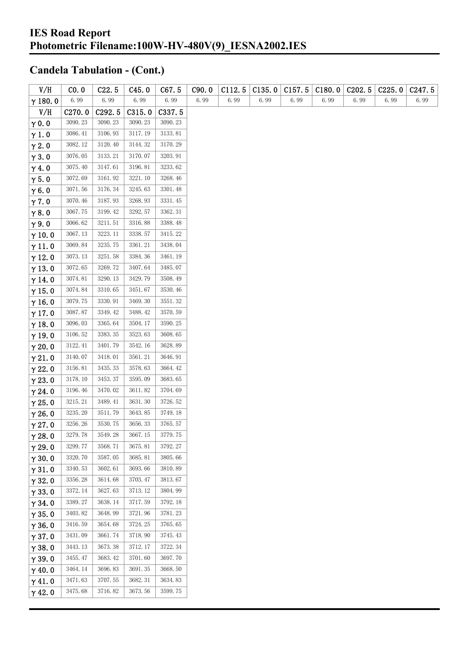| V/H            | CO. 0              | C22.5   | C45.0   | C67.5   | C90.0 | C112.5 | C135.0 | C157.5 | C180.0 | C <sub>2</sub> 02.5 | C225.0 | C <sub>247.5</sub> |
|----------------|--------------------|---------|---------|---------|-------|--------|--------|--------|--------|---------------------|--------|--------------------|
| $\gamma$ 180.0 | 6.99               | 6.99    | 6.99    | 6.99    | 6.99  | 6.99   | 6.99   | 6.99   | 6.99   | 6.99                | 6.99   | 6.99               |
| V/H            | C <sub>270.0</sub> | C292.5  | C315.0  | C337.5  |       |        |        |        |        |                     |        |                    |
| $\gamma$ 0.0   | 3090.23            | 3090.23 | 3090.23 | 3090.23 |       |        |        |        |        |                     |        |                    |
| $\gamma$ 1.0   | 3086.41            | 3106.93 | 3117.19 | 3133.81 |       |        |        |        |        |                     |        |                    |
| $\gamma$ 2.0   | 3082.12            | 3120.40 | 3144.32 | 3170.29 |       |        |        |        |        |                     |        |                    |
| $\gamma$ 3.0   | 3076.05            | 3133.21 | 3170.07 | 3203.91 |       |        |        |        |        |                     |        |                    |
| $\gamma$ 4.0   | 3075.40            | 3147.61 | 3196.81 | 3233.62 |       |        |        |        |        |                     |        |                    |
| $\gamma$ 5.0   | 3072.69            | 3161.92 | 3221.10 | 3268.46 |       |        |        |        |        |                     |        |                    |
| $\gamma$ 6.0   | 3071.56            | 3176.34 | 3245.63 | 3301.48 |       |        |        |        |        |                     |        |                    |
| $\gamma$ 7.0   | 3070.46            | 3187.93 | 3268.93 | 3331.45 |       |        |        |        |        |                     |        |                    |
| $\gamma$ 8.0   | 3067.75            | 3199.42 | 3292.57 | 3362.31 |       |        |        |        |        |                     |        |                    |
| $\gamma$ 9.0   | 3066.62            | 3211.51 | 3316.88 | 3388.48 |       |        |        |        |        |                     |        |                    |
| $\gamma$ 10.0  | 3067.13            | 3223.11 | 3338.57 | 3415.22 |       |        |        |        |        |                     |        |                    |
| $\gamma$ 11.0  | 3069.84            | 3235.75 | 3361.21 | 3438.04 |       |        |        |        |        |                     |        |                    |
| $\gamma$ 12.0  | 3073.13            | 3251.58 | 3384.36 | 3461.19 |       |        |        |        |        |                     |        |                    |
| $\gamma$ 13.0  | 3072.65            | 3269.72 | 3407.64 | 3485.07 |       |        |        |        |        |                     |        |                    |
| $\gamma$ 14.0  | 3074.81            | 3290.13 | 3429.79 | 3508.49 |       |        |        |        |        |                     |        |                    |
| $\gamma$ 15.0  | 3074.84            | 3310.65 | 3451.67 | 3530.46 |       |        |        |        |        |                     |        |                    |
| $\gamma$ 16.0  | 3079.75            | 3330.91 | 3469.30 | 3551.32 |       |        |        |        |        |                     |        |                    |
| $\gamma$ 17.0  | 3087.87            | 3349.42 | 3488.42 | 3570.59 |       |        |        |        |        |                     |        |                    |
| $\gamma$ 18.0  | 3096.03            | 3365.64 | 3504.17 | 3590.25 |       |        |        |        |        |                     |        |                    |
| $\gamma$ 19.0  | 3106.52            | 3383.35 | 3523.63 | 3608.65 |       |        |        |        |        |                     |        |                    |
| $\gamma$ 20.0  | 3122.41            | 3401.79 | 3542.16 | 3628.89 |       |        |        |        |        |                     |        |                    |
| $\gamma$ 21.0  | 3140.07            | 3418.01 | 3561.21 | 3646.91 |       |        |        |        |        |                     |        |                    |
| $\gamma$ 22.0  | 3156.81            | 3435.33 | 3578.63 | 3664.42 |       |        |        |        |        |                     |        |                    |
| $\gamma$ 23.0  | 3178.10            | 3453.37 | 3595.09 | 3683.65 |       |        |        |        |        |                     |        |                    |
| $\gamma$ 24.0  | 3196.46            | 3470.02 | 3611.82 | 3704.69 |       |        |        |        |        |                     |        |                    |
| $\gamma$ 25.0  | 3215.21            | 3489.41 | 3631.30 | 3726.52 |       |        |        |        |        |                     |        |                    |
| $\gamma$ 26.0  | 3235.20            | 3511.79 | 3643.85 | 3749.18 |       |        |        |        |        |                     |        |                    |
| $\gamma$ 27.0  | 3256.26            | 3530.75 | 3656.33 | 3765.57 |       |        |        |        |        |                     |        |                    |
| $\gamma$ 28.0  | 3279.78            | 3549.28 | 3667.15 | 3779.75 |       |        |        |        |        |                     |        |                    |
| $\gamma$ 29.0  | 3299.77            | 3568.71 | 3675.81 | 3792.27 |       |        |        |        |        |                     |        |                    |
| $\gamma$ 30.0  | 3320.70            | 3587.05 | 3685.81 | 3805.66 |       |        |        |        |        |                     |        |                    |
| $\gamma$ 31.0  | 3340.53            | 3602.61 | 3693.66 | 3810.89 |       |        |        |        |        |                     |        |                    |
| $\gamma$ 32.0  | 3356.28            | 3614.68 | 3703.47 | 3813.67 |       |        |        |        |        |                     |        |                    |
| $\gamma$ 33.0  | 3372.14            | 3627.63 | 3713.12 | 3804.99 |       |        |        |        |        |                     |        |                    |
| $\gamma$ 34.0  | 3389.27            | 3638.14 | 3717.59 | 3792.18 |       |        |        |        |        |                     |        |                    |
| $\gamma$ 35.0  | 3403.82            | 3648.99 | 3721.96 | 3781.23 |       |        |        |        |        |                     |        |                    |
| $\gamma$ 36.0  | 3416.59            | 3654.68 | 3724.25 | 3765.65 |       |        |        |        |        |                     |        |                    |
| $\gamma$ 37.0  | 3431.09            | 3661.74 | 3718.90 | 3745.43 |       |        |        |        |        |                     |        |                    |
| $\gamma$ 38.0  | 3443.13            | 3673.38 | 3712.17 | 3722.34 |       |        |        |        |        |                     |        |                    |
| $\gamma$ 39.0  | 3455.47            | 3683.42 | 3701.60 | 3697.70 |       |        |        |        |        |                     |        |                    |
| $\gamma$ 40.0  | 3464.14            | 3696.83 | 3691.35 | 3668.50 |       |        |        |        |        |                     |        |                    |
| $\gamma$ 41.0  | 3471.63            | 3707.55 | 3682.31 | 3634.83 |       |        |        |        |        |                     |        |                    |
| $\gamma$ 42.0  | 3475.68            | 3716.82 | 3673.56 | 3599.75 |       |        |        |        |        |                     |        |                    |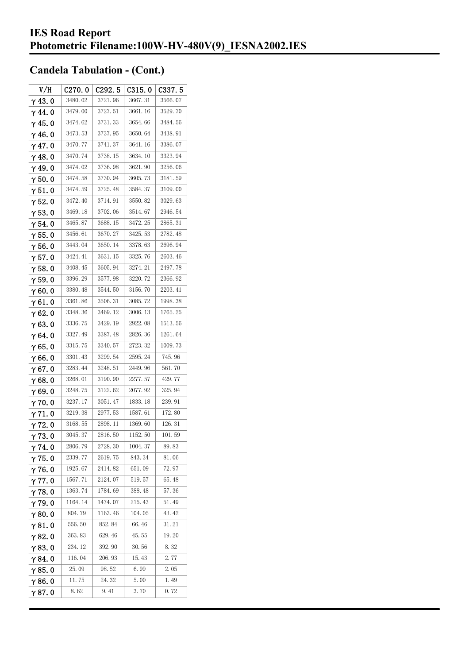| V/H            | C270.0  | C292.5  | C315.0  | C337.5  |
|----------------|---------|---------|---------|---------|
| $\gamma$ 43.0  | 3480.02 | 3721.96 | 3667.31 | 3566.07 |
| $\gamma$ 44.0  | 3479.00 | 3727.51 | 3661.16 | 3529.70 |
| $\gamma$ 45. 0 | 3474.62 | 3731.33 | 3654.66 | 3484.56 |
| $\gamma$ 46.0  | 3473.53 | 3737.95 | 3650.64 | 3438.91 |
| $\gamma$ 47.0  | 3470.77 | 3741.37 | 3641.16 | 3386.07 |
| $\gamma$ 48.0  | 3470.74 | 3738.15 | 3634.10 | 3323.94 |
| γ49.0          | 3474.02 | 3736.98 | 3621.90 | 3256.06 |
| $\gamma$ 50.0  | 3474.58 | 3730.94 | 3605.73 | 3181.59 |
| $\gamma$ 51.0  | 3474.59 | 3725.48 | 3584.37 | 3109.00 |
| $\gamma$ 52. 0 | 3472.40 | 3714.91 | 3550.82 | 3029.63 |
| $\gamma$ 53.0  | 3469.18 | 3702.06 | 3514.67 | 2946.54 |
| $\gamma$ 54. 0 | 3465.87 | 3688.15 | 3472.25 | 2865.31 |
| $\gamma$ 55.0  | 3456.61 | 3670.27 | 3425.53 | 2782.48 |
| γ56.0          | 3443.04 | 3650.14 | 3378.63 | 2696.94 |
| $\gamma$ 57.0  | 3424.41 | 3631.15 | 3325.76 | 2603.46 |
| $\gamma$ 58.0  | 3408.45 | 3605.94 | 3274.21 | 2497.78 |
| $\gamma$ 59.0  | 3396.29 | 3577.98 | 3220.72 | 2366.92 |
| $\gamma$ 60.0  | 3380.48 | 3544.50 | 3156.70 | 2203.41 |
| $\gamma$ 61.0  | 3361.86 | 3506.31 | 3085.72 | 1998.38 |
| $\gamma$ 62.0  | 3348.36 | 3469.12 | 3006.13 | 1765.25 |
| $\gamma$ 63.0  | 3336.75 | 3429.19 | 2922.08 | 1513.56 |
| γ64.0          | 3327.49 | 3387.48 | 2826.36 | 1261.64 |
| γ65.0          | 3315.75 | 3340.57 | 2723.32 | 1009.73 |
| γ66.0          | 3301.43 | 3299.54 | 2595.24 | 745.96  |
| $\gamma$ 67. 0 | 3283.44 | 3248.51 | 2449.96 | 561.70  |
| $\gamma$ 68.0  | 3268.01 | 3190.90 | 2277.57 | 429.77  |
| $\gamma$ 69.0  | 3248.75 | 3122.62 | 2077.92 | 325.94  |
| $\gamma$ 70.0  | 3237.17 | 3051.47 | 1833.18 | 239.91  |
| $\gamma$ 71.0  | 3219.38 | 2977.53 | 1587.61 | 172.80  |
| $\gamma$ 72.0  | 3168.55 | 2898.11 | 1369.60 | 126.31  |
| $\gamma$ 73.0  | 3045.37 | 2816.50 | 1152.50 | 101.59  |
| $\gamma$ 74.0  | 2806.79 | 2728.30 | 1004.37 | 89.83   |
| $\gamma$ 75.0  | 2339.77 | 2619.75 | 843.34  | 81.06   |
| $\gamma$ 76.0  | 1925.67 | 2414.82 | 651.09  | 72.97   |
| $\gamma$ 77.0  | 1567.71 | 2124.07 | 519.57  | 65.48   |
| $\gamma$ 78.0  | 1363.74 | 1784.69 | 388.48  | 57.36   |
| $\gamma$ 79.0  | 1164.14 | 1474.07 | 215.43  | 51.49   |
| $\gamma$ 80.0  | 804.79  | 1163.46 | 104.05  | 43.42   |
| $\gamma$ 81.0  | 556.50  | 852.84  | 66.46   | 31.21   |
| $\gamma$ 82.0  | 363.83  | 629.46  | 45.55   | 19.20   |
| $\gamma$ 83.0  | 234. 12 | 392.90  | 30.56   | 8.32    |
| $\gamma$ 84.0  | 116.04  | 206.93  | 15.43   | 2.77    |
| $\gamma$ 85.0  | 25.09   | 98.52   | 6.99    | 2.05    |
| $\gamma$ 86.0  | 11.75   | 24.32   | 5.00    | 1.49    |
| γ87.0          | 8.62    | 9.41    | 3.70    | 0.72    |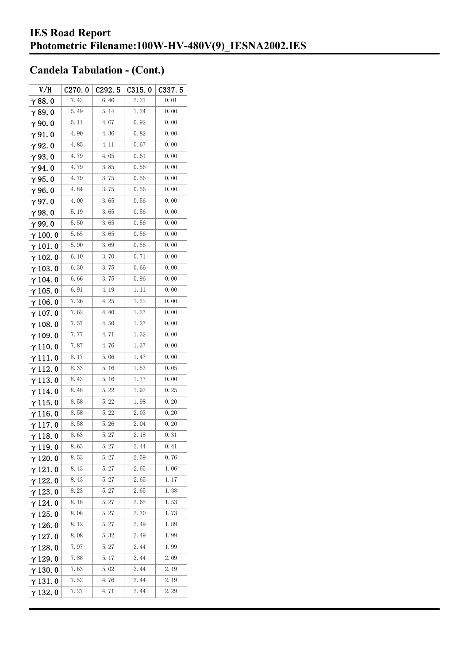| V/H             | C270.0 | C <sub>292.5</sub> | C315.0 | C337.5 |
|-----------------|--------|--------------------|--------|--------|
| $\gamma$ 88.0   | 7.43   | 6.46               | 2.21   | 0.01   |
| $\gamma$ 89.0   | 5.49   | 5.14               | 1.24   | 0.00   |
| $\gamma$ 90.0   | 5.11   | 4.67               | 0.92   | 0.00   |
| $\gamma$ 91.0   | 4.90   | 4.36               | 0.82   | 0.00   |
| γ92.0           | 4.85   | 4.11               | 0.67   | 0.00   |
| $\gamma$ 93. O  | 4.79   | 4.05               | 0.61   | 0.00   |
| $\gamma$ 94.0   | 4.79   | 3.85               | 0.56   | 0.00   |
| $\gamma$ 95.0   | 4.79   | 3.75               | 0.56   | 0.00   |
| $\gamma$ 96.0   | 4.84   | 3.75               | 0.56   | 0.00   |
| γ97.0           | 4.00   | 3.65               | 0.56   | 0.00   |
| $\gamma$ 98.0   | 5.19   | 3.65               | 0.56   | 0.00   |
| $\gamma$ 99.0   | 5.50   | 3.65               | 0.56   | 0.00   |
| $\gamma$ 100.0  | 5.65   | 3.65               | 0.56   | 0.00   |
| $\gamma$ 101.0  | 5.90   | 3.69               | 0.56   | 0.00   |
| $\gamma$ 102.0  | 6.10   | 3.70               | 0.71   | 0.00   |
| $\gamma$ 103. 0 | 6.30   | 3.75               | 0.66   | 0.00   |
| $\gamma$ 104. 0 | 6.66   | 3.75               | 0.96   | 0.00   |
| $\gamma$ 105.0  | 6.91   | 4.19               | 1.11   | 0.00   |
| $\gamma$ 106.0  | 7.26   | 4.25               | 1.22   | 0.00   |
| $\gamma$ 107. 0 | 7.62   | 4.40               | 1.27   | 0.00   |
| $\gamma$ 108.0  | 7.57   | 4.50               | 1.27   | 0.00   |
| $\gamma$ 109.0  | 7.77   | 4.71               | 1.32   | 0.00   |
| $\gamma$ 110. 0 | 7.87   | 4.76               | 1.37   | 0.00   |
| γ111.0          | 8.17   | 5.06               | 1.47   | 0.00   |
| $\gamma$ 112. 0 | 8.33   | 5.16               | 1.53   | 0.05   |
| $\gamma$ 113. 0 | 8.43   | 5.16               | 1.77   | 0.00   |
| γ114.0          | 8.48   | 5.22               | 1.93   | 0.25   |
| $\gamma$ 115. 0 | 8.58   | 5.22               | 1.98   | 0.20   |
| γ116.0          | 8.58   | 5.22               | 2.03   | 0.20   |
| $\gamma$ 117.0  | 8.58   | 5.26               | 2.04   | 0.20   |
| $\gamma$ 118. 0 | 8. 63  | 5. 27              | 2.18   | 0.31   |
| γ119.0          | 8.63   | 5.27               | 2.44   | 0.41   |
| $\gamma$ 120.0  | 8.53   | $5.27$             | 2.59   | 0.76   |
| $\gamma$ 121.0  | 8.43   | 5.27               | 2.65   | 1.06   |
| $\gamma$ 122.0  | 8.43   | 5.27               | 2.65   | 1.17   |
| $\gamma$ 123.0  | 8.23   | 5.27               | 2.65   | 1.38   |
| $\gamma$ 124. 0 | 8.18   | 5.27               | 2.65   | 1.53   |
| $\gamma$ 125.0  | 8.08   | $5.27$             | 2.70   | 1.73   |
| $\gamma$ 126.0  | 8.12   | 5.27               | 2.49   | 1.89   |
| $\gamma$ 127. 0 | 8.08   | 5.32               | 2.49   | 1.99   |
| $\gamma$ 128.0  | 7.97   | 5. 27              | 2.44   | 1.99   |
| $\gamma$ 129.0  | 7.88   | 5.17               | 2.44   | 2.09   |
| $\gamma$ 130. 0 | 7.63   | 5.02               | 2.44   | 2.19   |
| $\gamma$ 131.0  | 7.52   | 4.76               | 2.44   | 2. 19  |
| $\gamma$ 132. 0 | 7.27   | 4.71               | 2.44   | 2.29   |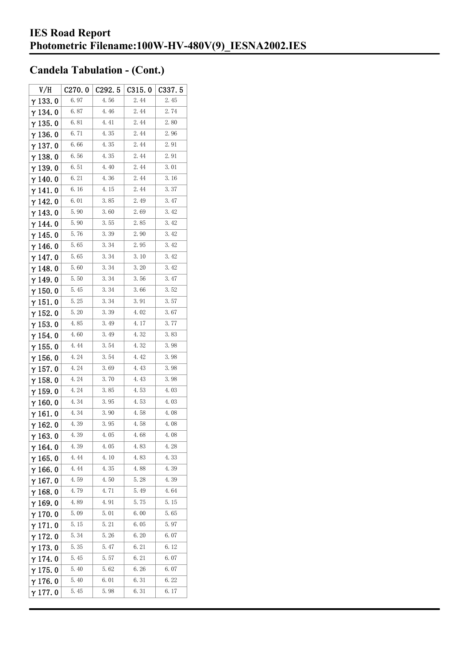| V/H             | C270.0 | C292.5 | C315.0 | C337.5 |
|-----------------|--------|--------|--------|--------|
| $\gamma$ 133.0  | 6.97   | 4.56   | 2.44   | 2.45   |
| $\gamma$ 134.0  | 6.87   | 4.46   | 2.44   | 2.74   |
| $\gamma$ 135. 0 | 6.81   | 4.41   | 2.44   | 2.80   |
| $\gamma$ 136.0  | 6.71   | 4.35   | 2.44   | 2.96   |
| $\gamma$ 137.0  | 6.66   | 4.35   | 2.44   | 2.91   |
| $\gamma$ 138. 0 | 6.56   | 4.35   | 2.44   | 2.91   |
| γ139.0          | 6.51   | 4.40   | 2.44   | 3.01   |
| $\gamma$ 140. 0 | 6.21   | 4.36   | 2.44   | 3.16   |
| $\gamma$ 141. 0 | 6.16   | 4.15   | 2.44   | 3.37   |
| γ142.0          | 6.01   | 3.85   | 2.49   | 3.47   |
| $\gamma$ 143.0  | 5.90   | 3.60   | 2.69   | 3.42   |
| $\gamma$ 144.0  | 5.90   | 3.55   | 2.85   | 3.42   |
| $\gamma$ 145.0  | 5.76   | 3.39   | 2.90   | 3.42   |
| $\gamma$ 146.0  | 5.65   | 3.34   | 2.95   | 3.42   |
| γ147.0          | 5.65   | 3.34   | 3.10   | 3.42   |
| $\gamma$ 148.0  | 5.60   | 3.34   | 3.20   | 3.42   |
| γ149.0          | 5.50   | 3.34   | 3.56   | 3.47   |
| $\gamma$ 150. 0 | 5.45   | 3.34   | 3.66   | 3.52   |
| $\gamma$ 151. 0 | 5.25   | 3.34   | 3.91   | 3.57   |
| $\gamma$ 152. 0 | 5.20   | 3.39   | 4.02   | 3.67   |
| $\gamma$ 153. 0 | 4.85   | 3.49   | 4.17   | 3.77   |
| γ 154. 0        | 4.60   | 3.49   | 4.32   | 3.83   |
| $\gamma$ 155. 0 | 4.44   | 3.54   | 4.32   | 3.98   |
| $\gamma$ 156.0  | 4.24   | 3.54   | 4.42   | 3.98   |
| $\gamma$ 157.0  | 4.24   | 3.69   | 4.43   | 3.98   |
| $\gamma$ 158. 0 | 4.24   | 3.70   | 4.43   | 3.98   |
| $\gamma$ 159.0  | 4.24   | 3.85   | 4.53   | 4.03   |
| $\gamma$ 160.0  | 4.34   | 3.95   | 4.53   | 4.03   |
| $\gamma$ 161.0  | 4.34   | 3.90   | 4.58   | 4.08   |
| $\gamma$ 162. 0 | 4.39   | 3.95   | 4.58   | 4.08   |
| $\gamma$ 163. 0 | 4.39   | 4.05   | 4.68   | 4.08   |
| $\gamma$ 164.0  | 4.39   | 4.05   | 4.83   | 4.28   |
| γ 165. 0        | 4.44   | 4.10   | 4.83   | 4.33   |
| $\gamma$ 166.0  | 4.44   | 4.35   | 4.88   | 4.39   |
| $\gamma$ 167.0  | 4.59   | 4.50   | 5.28   | 4.39   |
| $\gamma$ 168.0  | 4.79   | 4. 71  | 5.49   | 4.64   |
| γ169.0          | 4.89   | 4.91   | 5.75   | 5.15   |
| $\gamma$ 170.0  | 5.09   | 5.01   | 6.00   | 5.65   |
| $\gamma$ 171.0  | 5.15   | 5.21   | 6.05   | 5.97   |
| $\gamma$ 172. 0 | 5.34   | 5.26   | 6.20   | 6.07   |
| $\gamma$ 173.0  | 5.35   | 5.47   | 6.21   | 6.12   |
| γ 174. 0        | 5.45   | 5.57   | 6.21   | 6.07   |
| $\gamma$ 175.0  | 5.40   | 5.62   | 6.26   | 6.07   |
| $\gamma$ 176. 0 | 5.40   | 6.01   | 6.31   | 6.22   |
| γ177.0          | 5.45   | 5.98   | 6.31   | 6.17   |